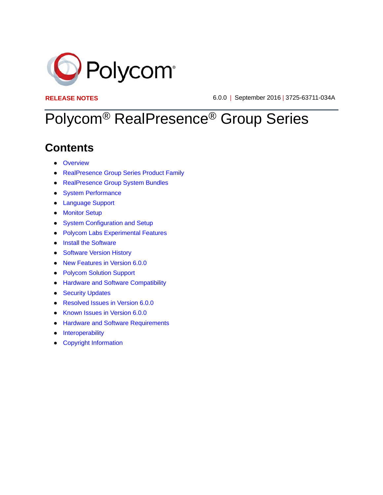

**RELEASE NOTES** 6.0.0 | September 2016 | 3725-63711-034A

# Polycom® RealPresence® Group Series

## **Contents**

- [Overview](#page-1-0)
- [RealPresence Group Series Product Family](#page-1-1)
- [RealPresence Group System Bundles](#page-2-0)
- [System Performance](#page-4-2)
- [Language Support](#page-4-1)
- [Monitor Setup](#page-4-0)
- [System Configuration and Setup](#page-5-0)
- [Polycom Labs Experimental Features](#page-6-0)
- [Install the Software](#page-8-0)
- [Software Version History](#page-9-0)
- [New Features in Version 6.0.0](#page-11-0)
- [Polycom Solution Support](#page-21-0)
- [Hardware and Software Compatibility](#page-21-1)
- [Security Updates](#page-23-0)
- **[Resolved Issues in Version 6.0.0](#page-23-1)**
- [Known Issues in Version 6.0.0](#page-33-0)
- **[Hardware and Software Requirements](#page-47-0)**
- **[Interoperability](#page-49-0)**
- **[Copyright Information](#page-54-0)**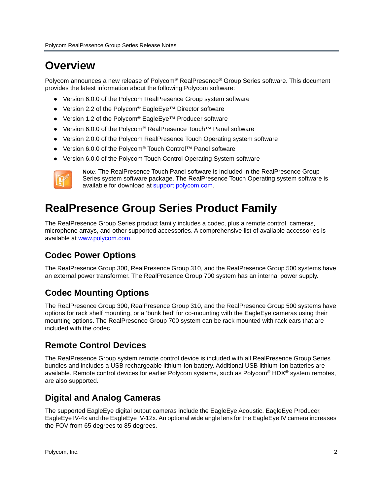## <span id="page-1-0"></span>**Overview**

Polycom announces a new release of Polycom® RealPresence® Group Series software. This document provides the latest information about the following Polycom software:

- Version 6.0.0 of the Polycom RealPresence Group system software
- Version 2.2 of the Polycom<sup>®</sup> EagleEye<sup>™</sup> Director software
- Version 1.2 of the Polycom® EagleEye™ Producer software
- Version 6.0.0 of the Polycom® RealPresence Touch™ Panel software
- Version 2.0.0 of the Polycom RealPresence Touch Operating system software
- Version 6.0.0 of the Polycom® Touch Control™ Panel software
- Version 6.0.0 of the Polycom Touch Control Operating System software



**Note**: The RealPresence Touch Panel software is included in the RealPresence Group Series system software package. The RealPresence Touch Operating system software is available for download at [support.polycom.com](http://support.polycom.com).

## <span id="page-1-1"></span>**RealPresence Group Series Product Family**

The RealPresence Group Series product family includes a codec, plus a remote control, cameras, [microphone arrays, and other supported accessories. A comprehensive list of available accessories is](http://www.polycom.com)  [available at](http://www.polycom.com) www.polycom.com.

### **Codec Power Options**

The RealPresence Group 300, RealPresence Group 310, and the RealPresence Group 500 systems have an external power transformer. The RealPresence Group 700 system has an internal power supply.

### **Codec Mounting Options**

The RealPresence Group 300, RealPresence Group 310, and the RealPresence Group 500 systems have options for rack shelf mounting, or a 'bunk bed' for co-mounting with the EagleEye cameras using their mounting options. The RealPresence Group 700 system can be rack mounted with rack ears that are included with the codec.

### **Remote Control Devices**

The RealPresence Group system remote control device is included with all RealPresence Group Series bundles and includes a USB rechargeable lithium-Ion battery. Additional USB lithium-Ion batteries are available. Remote control devices for earlier Polycom systems, such as Polycom® HDX® system remotes, are also supported.

### **Digital and Analog Cameras**

The supported EagleEye digital output cameras include the EagleEye Acoustic, EagleEye Producer, EagleEye IV-4x and the EagleEye IV-12x. An optional wide angle lens for the EagleEye IV camera increases the FOV from 65 degrees to 85 degrees.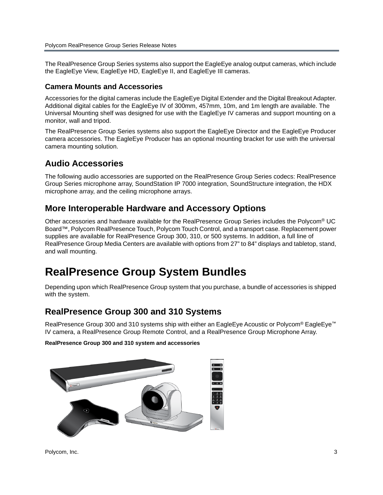The RealPresence Group Series systems also support the EagleEye analog output cameras, which include the EagleEye View, EagleEye HD, EagleEye II, and EagleEye III cameras.

#### **Camera Mounts and Accessories**

Accessories for the digital cameras include the EagleEye Digital Extender and the Digital Breakout Adapter. Additional digital cables for the EagleEye IV of 300mm, 457mm, 10m, and 1m length are available. The Universal Mounting shelf was designed for use with the EagleEye IV cameras and support mounting on a monitor, wall and tripod.

The RealPresence Group Series systems also support the EagleEye Director and the EagleEye Producer camera accessories. The EagleEye Producer has an optional mounting bracket for use with the universal camera mounting solution.

### **Audio Accessories**

The following audio accessories are supported on the RealPresence Group Series codecs: RealPresence Group Series microphone array, SoundStation IP 7000 integration, SoundStructure integration, the HDX microphone array, and the ceiling microphone arrays.

### **More Interoperable Hardware and Accessory Options**

Other accessories and hardware available for the RealPresence Group Series includes the Polycom® UC Board™, Polycom RealPresence Touch, Polycom Touch Control, and a transport case. Replacement power supplies are available for RealPresence Group 300, 310, or 500 systems. In addition, a full line of RealPresence Group Media Centers are available with options from 27" to 84" displays and tabletop, stand, and wall mounting.

## <span id="page-2-0"></span>**RealPresence Group System Bundles**

Depending upon which RealPresence Group system that you purchase, a bundle of accessories is shipped with the system.

### **RealPresence Group 300 and 310 Systems**

RealPresence Group 300 and 310 systems ship with either an EagleEye Acoustic or Polycom<sup>®</sup> EagleEye<sup>™</sup> IV camera, a RealPresence Group Remote Control, and a RealPresence Group Microphone Array.

#### **RealPresence Group 300 and 310 system and accessories**

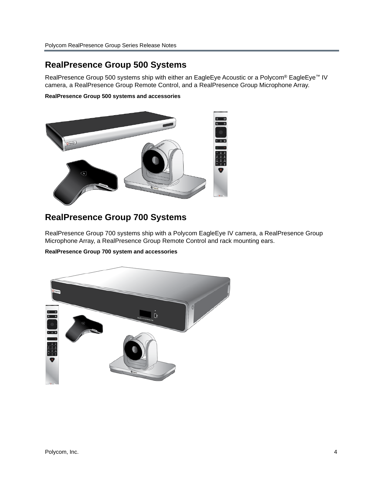### **RealPresence Group 500 Systems**

RealPresence Group 500 systems ship with either an EagleEye Acoustic or a Polycom® EagleEye<sup>™</sup> IV camera, a RealPresence Group Remote Control, and a RealPresence Group Microphone Array.

#### **RealPresence Group 500 systems and accessories**



### **RealPresence Group 700 Systems**

RealPresence Group 700 systems ship with a Polycom EagleEye IV camera, a RealPresence Group Microphone Array, a RealPresence Group Remote Control and rack mounting ears.

#### **RealPresence Group 700 system and accessories**

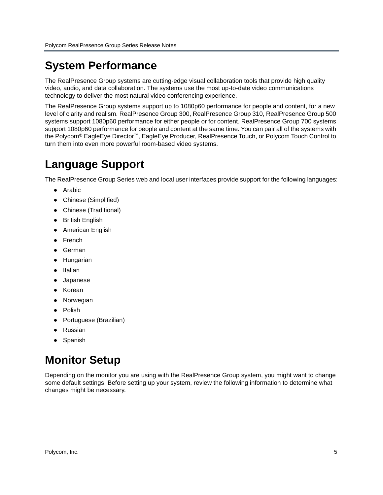## <span id="page-4-2"></span>**System Performance**

The RealPresence Group systems are cutting-edge visual collaboration tools that provide high quality video, audio, and data collaboration. The systems use the most up-to-date video communications technology to deliver the most natural video conferencing experience.

The RealPresence Group systems support up to 1080p60 performance for people and content, for a new level of clarity and realism. RealPresence Group 300, RealPresence Group 310, RealPresence Group 500 systems support 1080p60 performance for either people or for content. RealPresence Group 700 systems support 1080p60 performance for people and content at the same time. You can pair all of the systems with the Polycom® EagleEye Director™, EagleEye Producer, RealPresence Touch, or Polycom Touch Control to turn them into even more powerful room-based video systems.

## <span id="page-4-1"></span>**Language Support**

The RealPresence Group Series web and local user interfaces provide support for the following languages:

- Arabic
- Chinese (Simplified)
- Chinese (Traditional)
- **British English**
- American English
- **French**
- **German**
- Hungarian
- **Italian**
- **Japanese**
- **Korean**
- **Norwegian**
- **Polish**
- Portuguese (Brazilian)
- **Russian**
- Spanish

## <span id="page-4-0"></span>**Monitor Setup**

Depending on the monitor you are using with the RealPresence Group system, you might want to change some default settings. Before setting up your system, review the following information to determine what changes might be necessary.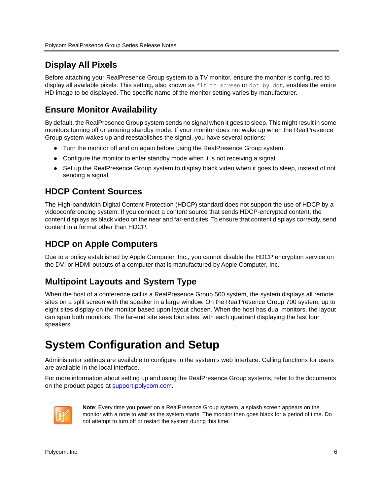### **Display All Pixels**

Before attaching your RealPresence Group system to a TV monitor, ensure the monitor is configured to display all available pixels. This setting, also known as fit to screen or dot by dot, enables the entire HD image to be displayed. The specific name of the monitor setting varies by manufacturer.

### **Ensure Monitor Availability**

By default, the RealPresence Group system sends no signal when it goes to sleep. This might result in some monitors turning off or entering standby mode. If your monitor does not wake up when the RealPresence Group system wakes up and reestablishes the signal, you have several options:

- Turn the monitor off and on again before using the RealPresence Group system.
- Configure the monitor to enter standby mode when it is not receiving a signal.
- Set up the RealPresence Group system to display black video when it goes to sleep, instead of not sending a signal.

### **HDCP Content Sources**

The High-bandwidth Digital Content Protection (HDCP) standard does not support the use of HDCP by a videoconferencing system. If you connect a content source that sends HDCP-encrypted content, the content displays as black video on the near and far-end sites. To ensure that content displays correctly, send content in a format other than HDCP.

### **HDCP on Apple Computers**

Due to a policy established by Apple Computer, Inc., you cannot disable the HDCP encryption service on the DVI or HDMI outputs of a computer that is manufactured by Apple Computer, Inc.

### **Multipoint Layouts and System Type**

When the host of a conference call is a RealPresence Group 500 system, the system displays all remote sites on a split screen with the speaker in a large window. On the RealPresence Group 700 system, up to eight sites display on the monitor based upon layout chosen. When the host has dual monitors, the layout can span both monitors. The far-end site sees four sites, with each quadrant displaying the last four speakers.

## <span id="page-5-0"></span>**System Configuration and Setup**

Administrator settings are available to configure in the system's web interface. Calling functions for users are available in the local interface.

For more information about setting up and using the RealPresence Group systems, refer to the documents on the product pages at [support.polycom.com.](http://support.polycom.com)



**Note**: Every time you power on a RealPresence Group system, a splash screen appears on the monitor with a note to wait as the system starts. The monitor then goes black for a period of time. Do not attempt to turn off or restart the system during this time.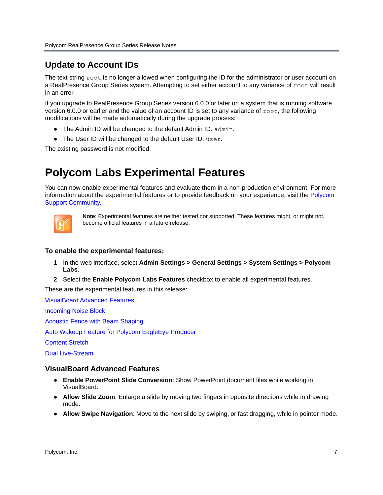### **Update to Account IDs**

The text string  $\text{root}$  is no longer allowed when configuring the ID for the administrator or user account on a RealPresence Group Series system. Attempting to set either account to any variance of root will result in an error.

If you upgrade to RealPresence Group Series version 6.0.0 or later on a system that is running software version 6.0.0 or earlier and the value of an account ID is set to any variance of  $\text{root}$ , the following modifications will be made automatically during the upgrade process:

- The Admin ID will be changed to the default Admin ID: admin.
- The User ID will be changed to the default User ID: user.

The existing password is not modified.

## <span id="page-6-0"></span>**Polycom Labs Experimental Features**

You can now enable experimental features and evaluate them in a non-production environment. For more information about the experimental features or to provide feedback on your experience, visit the [Polycom](http://community.polycom.com)  [Support Community.](http://community.polycom.com)



**Note**: Experimental features are neither tested nor supported. These features might, or might not, become official features in a future release.

#### **To enable the experimental features:**

- **1** In the web interface, select **Admin Settings > General Settings > System Settings > Polycom Labs**.
- **2** Select the **Enable Polycom Labs Features** checkbox to enable all experimental features.

These are the experimental features in this release:

[VisualBoard Advanced Features](#page-6-1) [Incoming Noise Block](#page-7-0) [Acoustic Fence with Beam Shaping](#page-7-1) [Auto Wakeup Feature for Polycom EagleEye Producer](#page-7-2) [Content Stretch](#page-8-1)

[Dual Live-Stream](#page-8-2)

#### <span id="page-6-1"></span>**VisualBoard Advanced Features**

- **Enable PowerPoint Slide Conversion**: Show PowerPoint document files while working in VisualBoard.
- **Allow Slide Zoom**: Enlarge a slide by moving two fingers in opposite directions while in drawing mode.
- **Allow Swipe Navigation**: Move to the next slide by swiping, or fast dragging, while in pointer mode.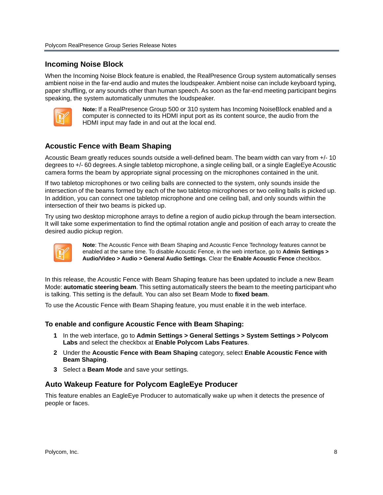### <span id="page-7-0"></span>**Incoming Noise Block**

When the Incoming Noise Block feature is enabled, the RealPresence Group system automatically senses ambient noise in the far-end audio and mutes the loudspeaker. Ambient noise can include keyboard typing, paper shuffling, or any sounds other than human speech. As soon as the far-end meeting participant begins speaking, the system automatically unmutes the loudspeaker.



**Note:** If a RealPresence Group 500 or 310 system has Incoming NoiseBlock enabled and a computer is connected to its HDMI input port as its content source, the audio from the HDMI input may fade in and out at the local end.

#### <span id="page-7-1"></span>**Acoustic Fence with Beam Shaping**

Acoustic Beam greatly reduces sounds outside a well-defined beam. The beam width can vary from +/- 10 degrees to +/- 60 degrees. A single tabletop microphone, a single ceiling ball, or a single EagleEye Acoustic camera forms the beam by appropriate signal processing on the microphones contained in the unit.

If two tabletop microphones or two ceiling balls are connected to the system, only sounds inside the intersection of the beams formed by each of the two tabletop microphones or two ceiling balls is picked up. In addition, you can connect one tabletop microphone and one ceiling ball, and only sounds within the intersection of their two beams is picked up.

Try using two desktop microphone arrays to define a region of audio pickup through the beam intersection. It will take some experimentation to find the optimal rotation angle and position of each array to create the desired audio pickup region.



**Note**: The Acoustic Fence with Beam Shaping and Acoustic Fence Technology features cannot be enabled at the same time. To disable Acoustic Fence, in the web interface, go to **Admin Settings > Audio/Video > Audio > General Audio Settings**. Clear the **Enable Acoustic Fence** checkbox.

In this release, the Acoustic Fence with Beam Shaping feature has been updated to include a new Beam Mode: **automatic steering beam**. This setting automatically steers the beam to the meeting participant who is talking. This setting is the default. You can also set Beam Mode to **fixed beam**.

To use the Acoustic Fence with Beam Shaping feature, you must enable it in the web interface.

#### **To enable and configure Acoustic Fence with Beam Shaping:**

- **1** In the web interface, go to **Admin Settings > General Settings > System Settings > Polycom Labs** and select the checkbox at **Enable Polycom Labs Features**.
- **2** Under the **Acoustic Fence with Beam Shaping** category, select **Enable Acoustic Fence with Beam Shaping**.
- **3** Select a **Beam Mode** and save your settings.

#### <span id="page-7-2"></span>**Auto Wakeup Feature for Polycom EagleEye Producer**

This feature enables an EagleEye Producer to automatically wake up when it detects the presence of people or faces.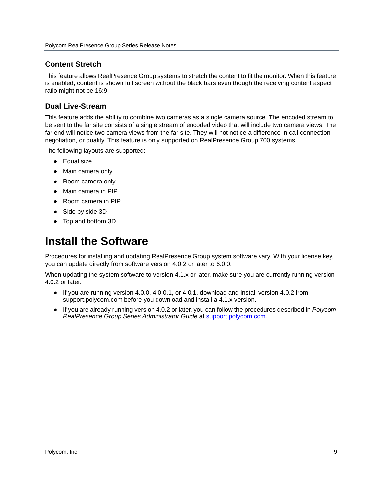### <span id="page-8-1"></span>**Content Stretch**

This feature allows RealPresence Group systems to stretch the content to fit the monitor. When this feature is enabled, content is shown full screen without the black bars even though the receiving content aspect ratio might not be 16:9.

#### <span id="page-8-2"></span>**Dual Live-Stream**

This feature adds the ability to combine two cameras as a single camera source. The encoded stream to be sent to the far site consists of a single stream of encoded video that will include two camera views. The far end will notice two camera views from the far site. They will not notice a difference in call connection, negotiation, or quality. This feature is only supported on RealPresence Group 700 systems.

The following layouts are supported:

- Equal size
- Main camera only
- Room camera only
- Main camera in PIP
- Room camera in PIP
- Side by side 3D
- Top and bottom 3D

## <span id="page-8-0"></span>**Install the Software**

Procedures for installing and updating RealPresence Group system software vary. With your license key, you can update directly from software version 4.0.2 or later to 6.0.0.

When updating the system software to version 4.1.x or later, make sure you are currently running version 4.0.2 or later.

- If you are running version 4.0.0, 4.0.0.1, or 4.0.1, download and install version 4.0.2 from support.polycom.com before you download and install a 4.1.x version.
- If you are already running version 4.0.2 or later, you can follow the procedures described in *Polycom RealPresence Group Series Administrator Guide* at [support.polycom.com.](http://support.polycom.com)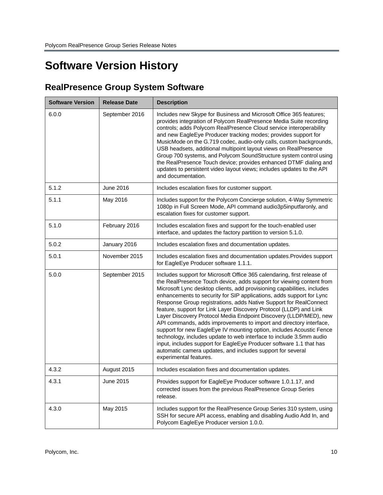## <span id="page-9-0"></span>**Software Version History**

## **RealPresence Group System Software**

| <b>Software Version</b> | <b>Release Date</b> | <b>Description</b>                                                                                                                                                                                                                                                                                                                                                                                                                                                                                                                                                                                                                                                                                                                                                                                                                                                                                     |
|-------------------------|---------------------|--------------------------------------------------------------------------------------------------------------------------------------------------------------------------------------------------------------------------------------------------------------------------------------------------------------------------------------------------------------------------------------------------------------------------------------------------------------------------------------------------------------------------------------------------------------------------------------------------------------------------------------------------------------------------------------------------------------------------------------------------------------------------------------------------------------------------------------------------------------------------------------------------------|
| 6.0.0                   | September 2016      | Includes new Skype for Business and Microsoft Office 365 features;<br>provides integration of Polycom RealPresence Media Suite recording<br>controls; adds Polycom RealPresence Cloud service interoperability<br>and new EagleEye Producer tracking modes; provides support for<br>MusicMode on the G.719 codec, audio-only calls, custom backgrounds,<br>USB headsets, additional multipoint layout views on RealPresence<br>Group 700 systems, and Polycom SoundStructure system control using<br>the RealPresence Touch device; provides enhanced DTMF dialing and<br>updates to persistent video layout views; includes updates to the API<br>and documentation.                                                                                                                                                                                                                                  |
| 5.1.2                   | June 2016           | Includes escalation fixes for customer support.                                                                                                                                                                                                                                                                                                                                                                                                                                                                                                                                                                                                                                                                                                                                                                                                                                                        |
| 5.1.1                   | May 2016            | Includes support for the Polycom Concierge solution, 4-Way Symmetric<br>1080p in Full Screen Mode, API command audio3p5inputfaronly, and<br>escalation fixes for customer support.                                                                                                                                                                                                                                                                                                                                                                                                                                                                                                                                                                                                                                                                                                                     |
| 5.1.0                   | February 2016       | Includes escalation fixes and support for the touch-enabled user<br>interface, and updates the factory partition to version 5.1.0.                                                                                                                                                                                                                                                                                                                                                                                                                                                                                                                                                                                                                                                                                                                                                                     |
| 5.0.2                   | January 2016        | Includes escalation fixes and documentation updates.                                                                                                                                                                                                                                                                                                                                                                                                                                                                                                                                                                                                                                                                                                                                                                                                                                                   |
| 5.0.1                   | November 2015       | Includes escalation fixes and documentation updates. Provides support<br>for EagleEye Producer software 1.1.1.                                                                                                                                                                                                                                                                                                                                                                                                                                                                                                                                                                                                                                                                                                                                                                                         |
| 5.0.0                   | September 2015      | Includes support for Microsoft Office 365 calendaring, first release of<br>the RealPresence Touch device, adds support for viewing content from<br>Microsoft Lync desktop clients, add provisioning capabilities, includes<br>enhancements to security for SIP applications, adds support for Lync<br>Response Group registrations, adds Native Support for RealConnect<br>feature, support for Link Layer Discovery Protocol (LLDP) and Link<br>Layer Discovery Protocol Media Endpoint Discovery (LLDP/MED), new<br>API commands, adds improvements to import and directory interface,<br>support for new EagleEye IV mounting option, includes Acoustic Fence<br>technology, includes update to web interface to include 3.5mm audio<br>input, includes support for EagleEye Producer software 1.1 that has<br>automatic camera updates, and includes support for several<br>experimental features. |
| 4.3.2                   | August 2015         | Includes escalation fixes and documentation updates.                                                                                                                                                                                                                                                                                                                                                                                                                                                                                                                                                                                                                                                                                                                                                                                                                                                   |
| 4.3.1                   | June 2015           | Provides support for EagleEye Producer software 1.0.1.17, and<br>corrected issues from the previous RealPresence Group Series<br>release.                                                                                                                                                                                                                                                                                                                                                                                                                                                                                                                                                                                                                                                                                                                                                              |
| 4.3.0                   | May 2015            | Includes support for the RealPresence Group Series 310 system, using<br>SSH for secure API access, enabling and disabling Audio Add In, and<br>Polycom EagleEye Producer version 1.0.0.                                                                                                                                                                                                                                                                                                                                                                                                                                                                                                                                                                                                                                                                                                                |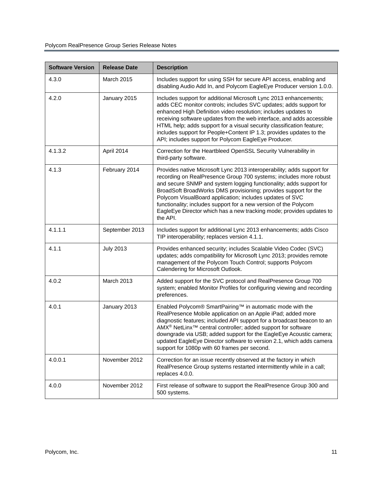| <b>Software Version</b> | <b>Release Date</b> | <b>Description</b>                                                                                                                                                                                                                                                                                                                                                                                                                                                                                       |
|-------------------------|---------------------|----------------------------------------------------------------------------------------------------------------------------------------------------------------------------------------------------------------------------------------------------------------------------------------------------------------------------------------------------------------------------------------------------------------------------------------------------------------------------------------------------------|
| 4.3.0                   | <b>March 2015</b>   | Includes support for using SSH for secure API access, enabling and<br>disabling Audio Add In, and Polycom EagleEye Producer version 1.0.0.                                                                                                                                                                                                                                                                                                                                                               |
| 4.2.0                   | January 2015        | Includes support for additional Microsoft Lync 2013 enhancements;<br>adds CEC monitor controls; includes SVC updates; adds support for<br>enhanced High Definition video resolution; includes updates to<br>receiving software updates from the web interface, and adds accessible<br>HTML help; adds support for a visual security classification feature;<br>includes support for People+Content IP 1.3; provides updates to the<br>API; includes support for Polycom EagleEye Producer.               |
| 4.1.3.2                 | April 2014          | Correction for the Heartbleed OpenSSL Security Vulnerability in<br>third-party software.                                                                                                                                                                                                                                                                                                                                                                                                                 |
| 4.1.3                   | February 2014       | Provides native Microsoft Lync 2013 interoperability; adds support for<br>recording on RealPresence Group 700 systems; includes more robust<br>and secure SNMP and system logging functionality; adds support for<br>BroadSoft BroadWorks DMS provisioning; provides support for the<br>Polycom VisualBoard application; includes updates of SVC<br>functionality; includes support for a new version of the Polycom<br>EagleEye Director which has a new tracking mode; provides updates to<br>the API. |
| 4.1.1.1                 | September 2013      | Includes support for additional Lync 2013 enhancements; adds Cisco<br>TIP interoperability; replaces version 4.1.1.                                                                                                                                                                                                                                                                                                                                                                                      |
| 4.1.1                   | <b>July 2013</b>    | Provides enhanced security; includes Scalable Video Codec (SVC)<br>updates; adds compatibility for Microsoft Lync 2013; provides remote<br>management of the Polycom Touch Control; supports Polycom<br>Calendering for Microsoft Outlook.                                                                                                                                                                                                                                                               |
| 4.0.2                   | March 2013          | Added support for the SVC protocol and RealPresence Group 700<br>system; enabled Monitor Profiles for configuring viewing and recording<br>preferences.                                                                                                                                                                                                                                                                                                                                                  |
| 4.0.1                   | January 2013        | Enabled Polycom® SmartPairing™ in automatic mode with the<br>RealPresence Mobile application on an Apple iPad; added more<br>diagnostic features; included API support for a broadcast beacon to an<br>AMX <sup>®</sup> NetLinx <sup>™</sup> central controller; added support for software<br>downgrade via USB; added support for the EagleEye Acoustic camera;<br>updated EagleEye Director software to version 2.1, which adds camera<br>support for 1080p with 60 frames per second.                |
| 4.0.0.1                 | November 2012       | Correction for an issue recently observed at the factory in which<br>RealPresence Group systems restarted intermittently while in a call;<br>replaces 4.0.0.                                                                                                                                                                                                                                                                                                                                             |
| 4.0.0                   | November 2012       | First release of software to support the RealPresence Group 300 and<br>500 systems.                                                                                                                                                                                                                                                                                                                                                                                                                      |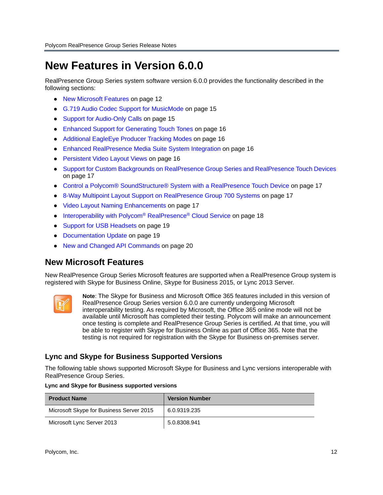## <span id="page-11-0"></span>**New Features in Version 6.0.0**

RealPresence Group Series system software version 6.0.0 provides the functionality described in the following sections:

- [New Microsoft Features on page 12](#page-11-1)
- [G.719 Audio Codec Support for MusicMode on page 15](#page-14-0)
- [Support for Audio-Only Calls on page 15](#page-14-1)
- [Enhanced Support for Generating Touch Tones on page 16](#page-15-0)
- [Additional EagleEye Producer Tracking Modes on page 16](#page-15-1)
- [Enhanced RealPresence Media Suite System Integration on page 16](#page-15-2)
- [Persistent Video Layout Views on page 16](#page-15-3)
- [Support for Custom Backgrounds on RealPresence Group Series and RealPresence Touch Devices](#page-16-0) [on page 17](#page-16-0)
- [Control a Polycom® SoundStructure® System with a RealPresence Touch Device on page 17](#page-16-3)
- [8-Way Multipoint Layout Support on RealPresence Group 700 Systems on page 17](#page-16-2)
- [Video Layout Naming Enhancements on page 17](#page-16-1)
- Interoperability with Polycom<sup>®</sup> RealPresence<sup>®</sup> Cloud Service on page 18
- [Support for USB Headsets on page 19](#page-18-0)
- **[Documentation Update on page 19](#page-18-1)**
- [New and Changed API Commands on page 20](#page-19-0)

### <span id="page-11-1"></span>**New Microsoft Features**

New RealPresence Group Series Microsoft features are supported when a RealPresence Group system is registered with Skype for Business Online, Skype for Business 2015, or Lync 2013 Server.



**Note**: The Skype for Business and Microsoft Office 365 features included in this version of RealPresence Group Series version 6.0.0 are currently undergoing Microsoft interoperability testing. As required by Microsoft, the Office 365 online mode will not be available until Microsoft has completed their testing. Polycom will make an announcement once testing is complete and RealPresence Group Series is certified. At that time, you will be able to register with Skype for Business Online as part of Office 365. Note that the testing is not required for registration with the Skype for Business on-premises server.

#### **Lync and Skype for Business Supported Versions**

The following table shows supported Microsoft Skype for Business and Lync versions interoperable with RealPresence Group Series.

#### **Lync and Skype for Business supported versions**

| <b>Product Name</b>                      | <b>Version Number</b> |
|------------------------------------------|-----------------------|
| Microsoft Skype for Business Server 2015 | 6.0.9319.235          |
| Microsoft Lync Server 2013               | 5.0.8308.941          |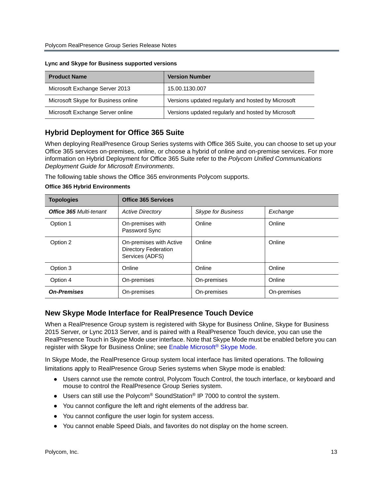| Lync and Skype for Business supported versions |
|------------------------------------------------|
|------------------------------------------------|

| <b>Product Name</b>                 | <b>Version Number</b>                              |
|-------------------------------------|----------------------------------------------------|
| Microsoft Exchange Server 2013      | 15.00.1130.007                                     |
| Microsoft Skype for Business online | Versions updated regularly and hosted by Microsoft |
| Microsoft Exchange Server online    | Versions updated regularly and hosted by Microsoft |

#### **Hybrid Deployment for Office 365 Suite**

When deploying RealPresence Group Series systems with Office 365 Suite, you can choose to set up your Office 365 services on-premises, online, or choose a hybrid of online and on-premise services. For more information on Hybrid Deployment for Office 365 Suite refer to the *Polycom Unified Communications Deployment Guide for Microsoft Environments*.

The following table shows the Office 365 environments Polycom supports.

| <b>Topologies</b>              | <b>Office 365 Services</b>                                                |                           |             |
|--------------------------------|---------------------------------------------------------------------------|---------------------------|-------------|
| <b>Office 365 Multi-tenant</b> | <b>Active Directory</b>                                                   | <b>Skype for Business</b> | Exchange    |
| Option 1                       | On-premises with<br>Password Sync                                         | Online                    | Online      |
| Option 2                       | On-premises with Active<br><b>Directory Federation</b><br>Services (ADFS) | Online                    | Online      |
| Option 3                       | Online                                                                    | Online                    | Online      |
| Option 4                       | On-premises                                                               | On-premises               | Online      |
| <b>On-Premises</b>             | On-premises                                                               | On-premises               | On-premises |

#### **Office 365 Hybrid Environments**

#### **New Skype Mode Interface for RealPresence Touch Device**

When a RealPresence Group system is registered with Skype for Business Online, Skype for Business 2015 Server, or Lync 2013 Server, and is paired with a RealPresence Touch device, you can use the RealPresence Touch in Skype Mode user interface. Note that Skype Mode must be enabled before you can register with Skype for Business Online; see [Enable Microsoft® Skype Mode](#page-13-0).

In Skype Mode, the RealPresence Group system local interface has limited operations. The following limitations apply to RealPresence Group Series systems when Skype mode is enabled:

- Users cannot use the remote control, Polycom Touch Control, the touch interface, or keyboard and mouse to control the RealPresence Group Series system.
- Users can still use the Polycom<sup>®</sup> SoundStation<sup>®</sup> IP 7000 to control the system.
- You cannot configure the left and right elements of the address bar.
- You cannot configure the user login for system access.
- You cannot enable Speed Dials, and favorites do not display on the home screen.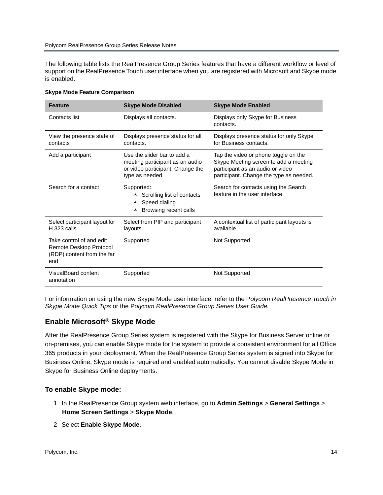The following table lists the RealPresence Group Series features that have a different workflow or level of support on the RealPresence Touch user interface when you are registered with Microsoft and Skype mode is enabled.

| <b>Feature</b>                                                                           | <b>Skype Mode Disabled</b>                                                                                            | <b>Skype Mode Enabled</b>                                                                                                                                    |
|------------------------------------------------------------------------------------------|-----------------------------------------------------------------------------------------------------------------------|--------------------------------------------------------------------------------------------------------------------------------------------------------------|
| Contacts list                                                                            | Displays all contacts.                                                                                                | Displays only Skype for Business<br>contacts.                                                                                                                |
| View the presence state of<br>contacts                                                   | Displays presence status for all<br>contacts.                                                                         | Displays presence status for only Skype<br>for Business contacts.                                                                                            |
| Add a participant                                                                        | Use the slider bar to add a<br>meeting participant as an audio<br>or video participant. Change the<br>type as needed. | Tap the video or phone toggle on the<br>Skype Meeting screen to add a meeting<br>participant as an audio or video<br>participant. Change the type as needed. |
| Search for a contact                                                                     | Supported:<br>Scrolling list of contacts<br>Speed dialing<br>$\blacktriangle$<br>Browsing recent calls<br>▴           | Search for contacts using the Search<br>feature in the user interface.                                                                                       |
| Select participant layout for<br>H.323 calls                                             | Select from PIP and participant<br>layouts.                                                                           | A contextual list of participant layouts is<br>available.                                                                                                    |
| Take control of and edit<br>Remote Desktop Protocol<br>(RDP) content from the far<br>end | Supported                                                                                                             | Not Supported                                                                                                                                                |
| VisualBoard content<br>annotation                                                        | Supported                                                                                                             | Not Supported                                                                                                                                                |

#### **Skype Mode Feature Comparison**

For information on using the new Skype Mode user interface, refer to the P*olycom RealPresence Touch in Skype Mode Quick Tips* or the P*olycom RealPresence Group Series User Guide.*

### <span id="page-13-0"></span>**Enable Microsoft® Skype Mode**

After the RealPresence Group Series system is registered with the Skype for Business Server online or on-premises, you can enable Skype mode for the system to provide a consistent environment for all Office 365 products in your deployment. When the RealPresence Group Series system is signed into Skype for Business Online, Skype mode is required and enabled automatically. You cannot disable Skype Mode in Skype for Business Online deployments.

#### **To enable Skype mode:**

- 1 In the RealPresence Group system web interface, go to **Admin Settings** > **General Settings** > **Home Screen Settings** > **Skype Mode**.
- 2 Select **Enable Skype Mode**.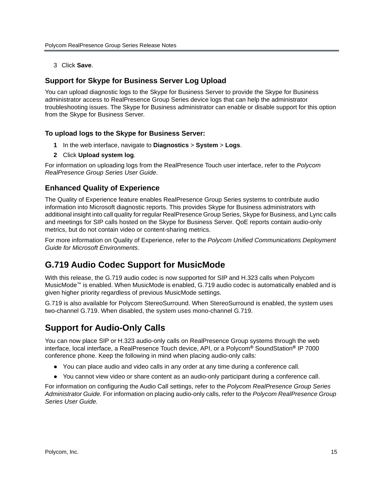3 Click **Save**.

#### **Support for Skype for Business Server Log Upload**

You can upload diagnostic logs to the Skype for Business Server to provide the Skype for Business administrator access to RealPresence Group Series device logs that can help the administrator troubleshooting issues. The Skype for Business administrator can enable or disable support for this option from the Skype for Business Server.

#### **To upload logs to the Skype for Business Server:**

- **1** In the web interface, navigate to **Diagnostics** > **System** > **Logs**.
- **2** Click **Upload system log**.

For information on uploading logs from the RealPresence Touch user interface, refer to the *Polycom RealPresence Group Series User Guide*.

#### **Enhanced Quality of Experience**

The Quality of Experience feature enables RealPresence Group Series systems to contribute audio information into Microsoft diagnostic reports. This provides Skype for Business administrators with additional insight into call quality for regular RealPresence Group Series, Skype for Business, and Lync calls and meetings for SIP calls hosted on the Skype for Business Server. QoE reports contain audio-only metrics, but do not contain video or content-sharing metrics.

For more information on Quality of Experience, refer to the *Polycom Unified Communications Deployment Guide for Microsoft Environments*.

### <span id="page-14-0"></span>**G.719 Audio Codec Support for MusicMode**

With this release, the G.719 audio codec is now supported for SIP and H.323 calls when Polycom MusicMode™ is enabled. When MusicMode is enabled, G.719 audio codec is automatically enabled and is given higher priority regardless of previous MusicMode settings.

G.719 is also available for Polycom StereoSurround. When StereoSurround is enabled, the system uses two-channel G.719. When disabled, the system uses mono-channel G.719.

### <span id="page-14-1"></span>**Support for Audio-Only Calls**

You can now place SIP or H.323 audio-only calls on RealPresence Group systems through the web interface, local interface, a RealPresence Touch device, API, or a Polycom**®** SoundStation**®** IP 7000 conference phone. Keep the following in mind when placing audio-only calls:

- You can place audio and video calls in any order at any time during a conference call.
- You cannot view video or share content as an audio-only participant during a conference call.

For information on configuring the Audio Call settings, refer to the *Polycom RealPresence Group Series Administrator Guide.* For information on placing audio-only calls, refer to the *Polycom RealPresence Group Series User Guide.*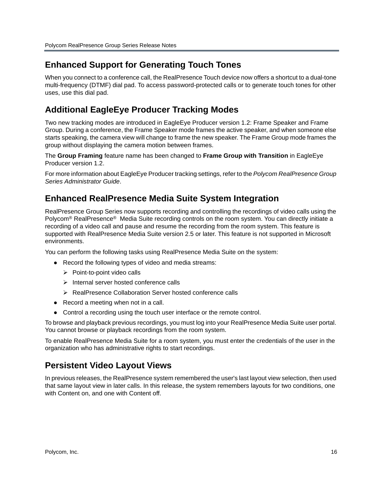### <span id="page-15-0"></span>**Enhanced Support for Generating Touch Tones**

When you connect to a conference call, the RealPresence Touch device now offers a shortcut to a dual-tone multi-frequency (DTMF) dial pad. To access password-protected calls or to generate touch tones for other uses, use this dial pad.

### <span id="page-15-1"></span>**Additional EagleEye Producer Tracking Modes**

Two new tracking modes are introduced in EagleEye Producer version 1.2: Frame Speaker and Frame Group. During a conference, the Frame Speaker mode frames the active speaker, and when someone else starts speaking, the camera view will change to frame the new speaker. The Frame Group mode frames the group without displaying the camera motion between frames.

The **Group Framing** feature name has been changed to **Frame Group with Transition** in EagleEye Producer version 1.2.

For more information about EagleEye Producer tracking settings, refer to the *Polycom RealPresence Group Series Administrator Guide*.

### <span id="page-15-2"></span>**Enhanced RealPresence Media Suite System Integration**

RealPresence Group Series now supports recording and controlling the recordings of video calls using the Polycom® RealPresence® Media Suite recording controls on the room system. You can directly initiate a recording of a video call and pause and resume the recording from the room system. This feature is supported with RealPresence Media Suite version 2.5 or later. This feature is not supported in Microsoft environments.

You can perform the following tasks using RealPresence Media Suite on the system:

- Record the following types of video and media streams:
	- $\triangleright$  Point-to-point video calls
	- $\triangleright$  Internal server hosted conference calls
	- ▶ RealPresence Collaboration Server hosted conference calls
- Record a meeting when not in a call.
- Control a recording using the touch user interface or the remote control.

To browse and playback previous recordings, you must log into your RealPresence Media Suite user portal. You cannot browse or playback recordings from the room system.

To enable RealPresence Media Suite for a room system, you must enter the credentials of the user in the organization who has administrative rights to start recordings.

### <span id="page-15-3"></span>**Persistent Video Layout Views**

In previous releases, the RealPresence system remembered the user's last layout view selection, then used that same layout view in later calls. In this release, the system remembers layouts for two conditions, one with Content on, and one with Content off.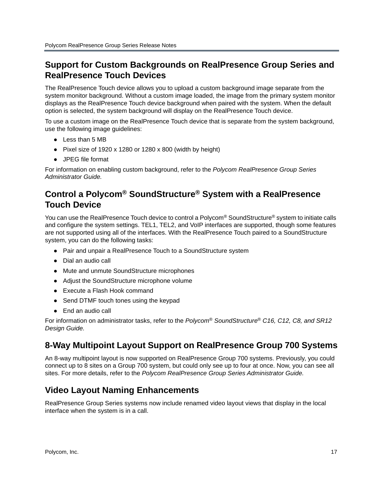### <span id="page-16-0"></span>**Support for Custom Backgrounds on RealPresence Group Series and RealPresence Touch Devices**

The RealPresence Touch device allows you to upload a custom background image separate from the system monitor background. Without a custom image loaded, the image from the primary system monitor displays as the RealPresence Touch device background when paired with the system. When the default option is selected, the system background will display on the RealPresence Touch device.

To use a custom image on the RealPresence Touch device that is separate from the system background, use the following image guidelines:

- Less than 5 MB
- Pixel size of 1920 x 1280 or 1280 x 800 (width by height)
- JPEG file format

For information on enabling custom background, refer to the *Polycom RealPresence Group Series Administrator Guide.*

### <span id="page-16-3"></span>**Control a Polycom® SoundStructure® System with a RealPresence Touch Device**

You can use the RealPresence Touch device to control a Polycom® SoundStructure® system to initiate calls and configure the system settings. TEL1, TEL2, and VoIP interfaces are supported, though some features are not supported using all of the interfaces. With the RealPresence Touch paired to a SoundStructure system, you can do the following tasks:

- Pair and unpair a RealPresence Touch to a SoundStructure system
- Dial an audio call
- Mute and unmute SoundStructure microphones
- Adjust the SoundStructure microphone volume
- Execute a Flash Hook command
- Send DTMF touch tones using the keypad
- End an audio call

For information on administrator tasks, refer to the *Polycom*® *SoundStructure*® *C16, C12, C8, and SR12 Design Guide.*

### <span id="page-16-2"></span>**8-Way Multipoint Layout Support on RealPresence Group 700 Systems**

An 8-way multipoint layout is now supported on RealPresence Group 700 systems. Previously, you could connect up to 8 sites on a Group 700 system, but could only see up to four at once. Now, you can see all sites. For more details, refer to the *Polycom RealPresence Group Series Administrator Guide.*

### <span id="page-16-1"></span>**Video Layout Naming Enhancements**

RealPresence Group Series systems now include renamed video layout views that display in the local interface when the system is in a call.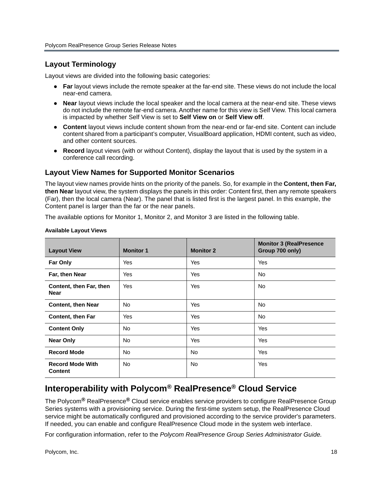### **Layout Terminology**

Layout views are divided into the following basic categories:

- **Far** layout views include the remote speaker at the far-end site. These views do not include the local near-end camera.
- **Near** layout views include the local speaker and the local camera at the near-end site. These views do not include the remote far-end camera. Another name for this view is Self View. This local camera is impacted by whether Self View is set to **Self View on** or **Self View off**.
- **Content** layout views include content shown from the near-end or far-end site. Content can include content shared from a participant's computer, VisualBoard application, HDMI content, such as video, and other content sources.
- **Record** layout views (with or without Content), display the layout that is used by the system in a conference call recording.

#### **Layout View Names for Supported Monitor Scenarios**

The layout view names provide hints on the priority of the panels. So, for example in the **Content, then Far, then Near** layout view, the system displays the panels in this order: Content first, then any remote speakers (Far), then the local camera (Near). The panel that is listed first is the largest panel. In this example, the Content panel is larger than the far or the near panels.

The available options for Monitor 1, Monitor 2, and Monitor 3 are listed in the following table.

| <b>Layout View</b>                        | <b>Monitor 1</b> | <b>Monitor 2</b> | <b>Monitor 3 (RealPresence</b><br>Group 700 only) |
|-------------------------------------------|------------------|------------------|---------------------------------------------------|
| <b>Far Only</b>                           | Yes              | Yes              | Yes                                               |
| Far, then Near                            | Yes              | Yes              | No.                                               |
| Content, then Far, then<br>Near           | Yes              | Yes              | No.                                               |
| <b>Content, then Near</b>                 | No.              | Yes              | No.                                               |
| Content, then Far                         | Yes              | Yes              | No.                                               |
| <b>Content Only</b>                       | No.              | Yes              | Yes                                               |
| <b>Near Only</b>                          | No.              | Yes              | Yes                                               |
| <b>Record Mode</b>                        | No.              | No.              | Yes                                               |
| <b>Record Mode With</b><br><b>Content</b> | No.              | No.              | Yes                                               |

#### **Available Layout Views**

### <span id="page-17-0"></span>**Interoperability with Polycom® RealPresence® Cloud Service**

The Polycom**®** RealPresence**®** Cloud service enables service providers to configure RealPresence Group Series systems with a provisioning service. During the first-time system setup, the RealPresence Cloud service might be automatically configured and provisioned according to the service provider's parameters. If needed, you can enable and configure RealPresence Cloud mode in the system web interface.

For configuration information, refer to the *Polycom RealPresence Group Series Administrator Guide.*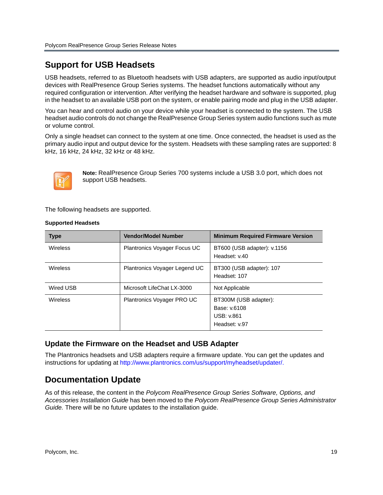### <span id="page-18-0"></span>**Support for USB Headsets**

USB headsets, referred to as Bluetooth headsets with USB adapters, are supported as audio input/output devices with RealPresence Group Series systems. The headset functions automatically without any required configuration or intervention. After verifying the headset hardware and software is supported, plug in the headset to an available USB port on the system, or enable pairing mode and plug in the USB adapter.

You can hear and control audio on your device while your headset is connected to the system. The USB headset audio controls do not change the RealPresence Group Series system audio functions such as mute or volume control.

Only a single headset can connect to the system at one time. Once connected, the headset is used as the primary audio input and output device for the system. Headsets with these sampling rates are supported: 8 kHz, 16 kHz, 24 kHz, 32 kHz or 48 kHz.



**Note:** RealPresence Group Series 700 systems include a USB 3.0 port, which does not support USB headsets.

The following headsets are supported.

#### **Supported Headsets**

| <b>Type</b> | <b>Vendor/Model Number</b>    | <b>Minimum Required Firmware Version</b>                             |
|-------------|-------------------------------|----------------------------------------------------------------------|
| Wireless    | Plantronics Voyager Focus UC  | BT600 (USB adapter): v.1156<br>Headset: v.40                         |
| Wireless    | Plantronics Voyager Legend UC | BT300 (USB adapter): 107<br>Headset: 107                             |
| Wired USB   | Microsoft LifeChat LX-3000    | Not Applicable                                                       |
| Wireless    | Plantronics Voyager PRO UC    | BT300M (USB adapter):<br>Base: v.6108<br>USB: v.861<br>Headset: v.97 |

#### **Update the Firmware on the Headset and USB Adapter**

The Plantronics headsets and USB adapters require a firmware update. You can get the updates and instructions for updating at [http://www.plantronics.com/us/support/myheadset/updater/.](http://www.plantronics.com/us/support/myheadset/updater/)

### <span id="page-18-1"></span>**Documentation Update**

As of this release, the content in the *Polycom RealPresence Group Series Software, Options, and Accessories Installation Guide* has been moved to the *Polycom RealPresence Group Series Administrator Guide.* There will be no future updates to the installation guide.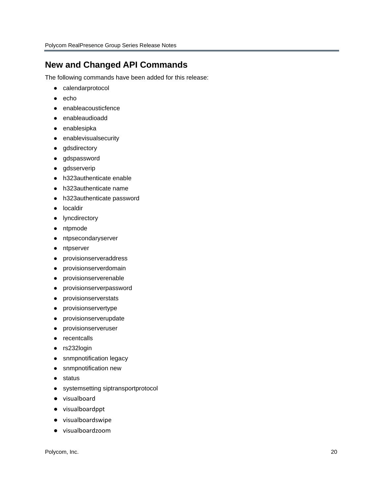### <span id="page-19-0"></span>**New and Changed API Commands**

The following commands have been added for this release:

- calendarprotocol
- echo
- enableacousticfence
- enableaudioadd
- enablesipka
- enablevisualsecurity
- gdsdirectory
- gdspassword
- gdsserverip
- h323authenticate enable
- h323authenticate name
- h323authenticate password
- localdir
- lyncdirectory
- ntpmode
- ntpsecondaryserver
- ntpserver
- provisionserveraddress
- provisionserverdomain
- provisionserverenable
- provisionserverpassword
- provisionserverstats
- provisionservertype
- provisionserverupdate
- provisionserveruser
- recentcalls
- rs232login
- snmpnotification legacy
- snmpnotification new
- status
- systemsetting siptransportprotocol
- visualboard
- visualboardppt
- visualboardswipe
- visualboardzoom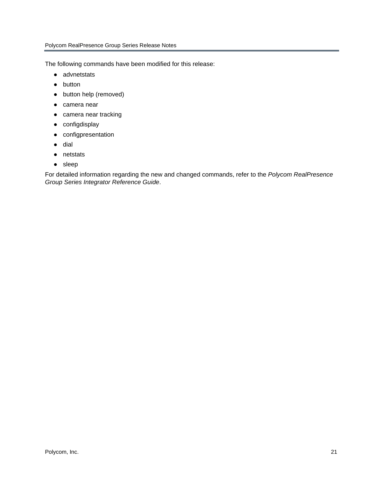The following commands have been modified for this release:

- advnetstats
- button
- button help (removed)
- camera near
- camera near tracking
- configdisplay
- configpresentation
- dial
- netstats
- sleep

For detailed information regarding the new and changed commands, refer to the *Polycom RealPresence Group Series Integrator Reference Guide*.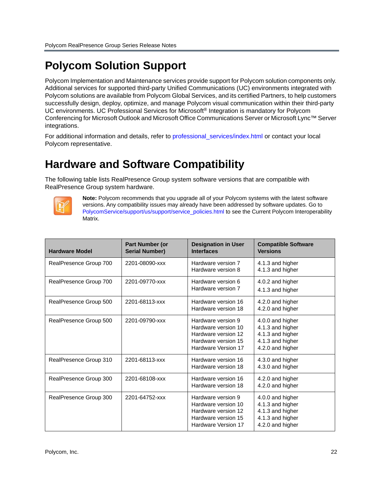## <span id="page-21-0"></span>**Polycom Solution Support**

Polycom Implementation and Maintenance services provide support for Polycom solution components only. Additional services for supported third-party Unified Communications (UC) environments integrated with Polycom solutions are available from Polycom Global Services, and its certified Partners, to help customers successfully design, deploy, optimize, and manage Polycom visual communication within their third-party UC environments. UC Professional Services for Microsoft® Integration is mandatory for Polycom Conferencing for Microsoft Outlook and Microsoft Office Communications Server or Microsoft Lync™ Server integrations.

For additional information and details, refer to [professional\\_services/index.html](http://www.polycom.com/services/professional_services/index.html) or contact your local Polycom representative.

## <span id="page-21-1"></span>**Hardware and Software Compatibility**

The following table lists RealPresence Group system software versions that are compatible with RealPresence Group system hardware.



**Note:** Polycom recommends that you upgrade all of your Polycom systems with the latest software versions. Any compatibility issues may already have been addressed by software updates. Go to [PolycomService/support/us/support/service\\_policies.html](http://support.polycom.com/PolycomService/support/us/support/service_policies.html) to see the Current Polycom Interoperability Matrix.

| <b>Hardware Model</b>  | <b>Part Number (or</b><br><b>Serial Number)</b> | <b>Designation in User</b><br><b>Interfaces</b>                                                                       | <b>Compatible Software</b><br><b>Versions</b>                                                    |
|------------------------|-------------------------------------------------|-----------------------------------------------------------------------------------------------------------------------|--------------------------------------------------------------------------------------------------|
| RealPresence Group 700 | 2201-08090-xxx                                  | Hardware version 7<br>Hardware version 8                                                                              | 4.1.3 and higher<br>4.1.3 and higher                                                             |
| RealPresence Group 700 | 2201-09770-xxx                                  | Hardware version 6<br>Hardware version 7                                                                              | 4.0.2 and higher<br>4.1.3 and higher                                                             |
| RealPresence Group 500 | 2201-68113-xxx                                  | Hardware version 16<br>Hardware version 18                                                                            | 4.2.0 and higher<br>4.2.0 and higher                                                             |
| RealPresence Group 500 | 2201-09790-xxx                                  | Hardware version 9<br>Hardware version 10<br>Hardware version 12<br>Hardware version 15<br>Hardware Version 17        | 4.0.0 and higher<br>4.1.3 and higher<br>4.1.3 and higher<br>4.1.3 and higher<br>4.2.0 and higher |
| RealPresence Group 310 | 2201-68113-xxx                                  | Hardware version 16<br>Hardware version 18                                                                            | 4.3.0 and higher<br>4.3.0 and higher                                                             |
| RealPresence Group 300 | 2201-68108-xxx                                  | Hardware version 16<br>Hardware version 18                                                                            | 4.2.0 and higher<br>4.2.0 and higher                                                             |
| RealPresence Group 300 | 2201-64752-xxx                                  | Hardware version 9<br>Hardware version 10<br>Hardware version 12<br>Hardware version 15<br><b>Hardware Version 17</b> | 4.0.0 and higher<br>4.1.3 and higher<br>4.1.3 and higher<br>4.1.3 and higher<br>4.2.0 and higher |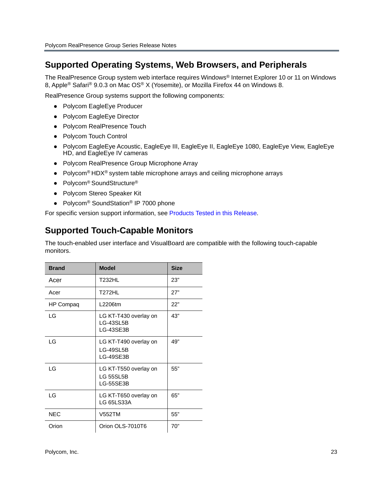### **Supported Operating Systems, Web Browsers, and Peripherals**

The RealPresence Group system web interface requires Windows® Internet Explorer 10 or 11 on Windows 8, Apple<sup>®</sup> Safari<sup>®</sup> 9.0.3 on Mac OS<sup>®</sup> X (Yosemite), or Mozilla Firefox 44 on Windows 8.

RealPresence Group systems support the following components:

- Polycom EagleEye Producer
- Polycom EagleEye Director
- Polycom RealPresence Touch
- Polycom Touch Control
- Polycom EagleEye Acoustic, EagleEye III, EagleEye II, EagleEye 1080, EagleEye View, EagleEye HD, and EagleEye IV cameras
- Polycom RealPresence Group Microphone Array
- Polycom<sup>®</sup> HDX<sup>®</sup> system table microphone arrays and ceiling microphone arrays
- Polycom<sup>®</sup> SoundStructure<sup>®</sup>
- Polycom Stereo Speaker Kit
- Polycom<sup>®</sup> SoundStation<sup>®</sup> IP 7000 phone

For specific version support information, see [Products Tested in this Release.](#page-49-1)

### **Supported Touch-Capable Monitors**

The touch-enabled user interface and VisualBoard are compatible with the following touch-capable monitors.

| <b>Brand</b> | <b>Model</b>                                           | <b>Size</b> |
|--------------|--------------------------------------------------------|-------------|
| Acer         | <b>T232HL</b>                                          | 23"         |
| Acer         | T272HL                                                 | 27"         |
| HP Compag    | L2206tm                                                | 22"         |
| LG           | LG KT-T430 overlay on<br>LG-43SL5B<br>LG-43SE3B        | 43"         |
| LG.          | LG KT-T490 overlay on<br>LG-49SL5B<br>LG-49SE3B        | 49"         |
| LG           | LG KT-T550 overlay on<br><b>LG 55SL5B</b><br>LG-55SE3B | 55"         |
| LG.          | LG KT-T650 overlay on<br>LG 65LS33A                    | 65"         |
| <b>NEC</b>   | V552TM                                                 | 55"         |
| Orion        | Orion OLS-7010T6                                       | 70"         |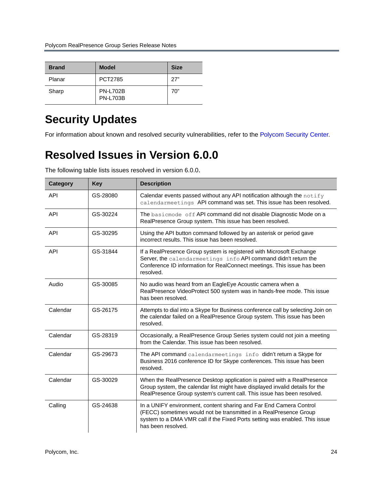| <b>Brand</b> | <b>Model</b>                       | <b>Size</b> |
|--------------|------------------------------------|-------------|
| Planar       | PCT2785                            | 27"         |
| Sharp        | <b>PN-L702B</b><br><b>PN-L703B</b> | 70"         |

## <span id="page-23-0"></span>**Security Updates**

For information about known and resolved security vulnerabilities, refer to the [Polycom Security Center](http://support.polycom.com/PolycomService/support/us/support/documentation/security_center.html).

## <span id="page-23-1"></span>**Resolved Issues in Version 6.0.0**

| The following table lists issues resolved in version 6.0.0. |  |  |  |  |
|-------------------------------------------------------------|--|--|--|--|
|                                                             |  |  |  |  |

| <b>Category</b> | <b>Key</b> | <b>Description</b>                                                                                                                                                                                                                           |  |
|-----------------|------------|----------------------------------------------------------------------------------------------------------------------------------------------------------------------------------------------------------------------------------------------|--|
| <b>API</b>      | GS-28080   | Calendar events passed without any API notification although the notify<br>calendarmeetings API command was set. This issue has been resolved.                                                                                               |  |
| API             | GS-30224   | The basicmode off API command did not disable Diagnostic Mode on a<br>RealPresence Group system. This issue has been resolved.                                                                                                               |  |
| <b>API</b>      | GS-30295   | Using the API button command followed by an asterisk or period gave<br>incorrect results. This issue has been resolved.                                                                                                                      |  |
| API             | GS-31844   | If a RealPresence Group system is registered with Microsoft Exchange<br>Server, the calendarmeetings info API command didn't return the<br>Conference ID information for RealConnect meetings. This issue has been<br>resolved.              |  |
| Audio           | GS-30085   | No audio was heard from an EagleEye Acoustic camera when a<br>RealPresence VideoProtect 500 system was in hands-free mode. This issue<br>has been resolved.                                                                                  |  |
| Calendar        | GS-26175   | Attempts to dial into a Skype for Business conference call by selecting Join on<br>the calendar failed on a RealPresence Group system. This issue has been<br>resolved.                                                                      |  |
| Calendar        | GS-28319   | Occasionally, a RealPresence Group Series system could not join a meeting<br>from the Calendar. This issue has been resolved.                                                                                                                |  |
| Calendar        | GS-29673   | The API command calendarmeetings info didn't return a Skype for<br>Business 2016 conference ID for Skype conferences. This issue has been<br>resolved.                                                                                       |  |
| Calendar        | GS-30029   | When the RealPresence Desktop application is paired with a RealPresence<br>Group system, the calendar list might have displayed invalid details for the<br>RealPresence Group system's current call. This issue has been resolved.           |  |
| Calling         | GS-24638   | In a UNIFY environment, content sharing and Far End Camera Control<br>(FECC) sometimes would not be transmitted in a RealPresence Group<br>system to a DMA VMR call if the Fixed Ports setting was enabled. This issue<br>has been resolved. |  |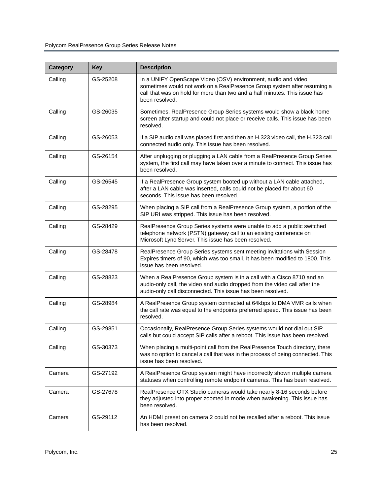| <b>Category</b> | <b>Key</b> | <b>Description</b>                                                                                                                                                                                                                        |  |
|-----------------|------------|-------------------------------------------------------------------------------------------------------------------------------------------------------------------------------------------------------------------------------------------|--|
| Calling         | GS-25208   | In a UNIFY OpenScape Video (OSV) environment, audio and video<br>sometimes would not work on a RealPresence Group system after resuming a<br>call that was on hold for more than two and a half minutes. This issue has<br>been resolved. |  |
| Calling         | GS-26035   | Sometimes, RealPresence Group Series systems would show a black home<br>screen after startup and could not place or receive calls. This issue has been<br>resolved.                                                                       |  |
| Calling         | GS-26053   | If a SIP audio call was placed first and then an H.323 video call, the H.323 call<br>connected audio only. This issue has been resolved.                                                                                                  |  |
| Calling         | GS-26154   | After unplugging or plugging a LAN cable from a RealPresence Group Series<br>system, the first call may have taken over a minute to connect. This issue has<br>been resolved.                                                             |  |
| Calling         | GS-26545   | If a RealPresence Group system booted up without a LAN cable attached,<br>after a LAN cable was inserted, calls could not be placed for about 60<br>seconds. This issue has been resolved.                                                |  |
| Calling         | GS-28295   | When placing a SIP call from a RealPresence Group system, a portion of the<br>SIP URI was stripped. This issue has been resolved.                                                                                                         |  |
| Calling         | GS-28429   | RealPresence Group Series systems were unable to add a public switched<br>telephone network (PSTN) gateway call to an existing conference on<br>Microsoft Lync Server. This issue has been resolved.                                      |  |
| Calling         | GS-28478   | RealPresence Group Series systems sent meeting invitations with Session<br>Expires timers of 90, which was too small. It has been modified to 1800. This<br>issue has been resolved.                                                      |  |
| Calling         | GS-28823   | When a RealPresence Group system is in a call with a Cisco 8710 and an<br>audio-only call, the video and audio dropped from the video call after the<br>audio-only call disconnected. This issue has been resolved.                       |  |
| Calling         | GS-28984   | A RealPresence Group system connected at 64kbps to DMA VMR calls when<br>the call rate was equal to the endpoints preferred speed. This issue has been<br>resolved.                                                                       |  |
| Calling         | GS-29851   | Occasionally, RealPresence Group Series systems would not dial out SIP<br>calls but could accept SIP calls after a reboot. This issue has been resolved.                                                                                  |  |
| Calling         | GS-30373   | When placing a multi-point call from the RealPresence Touch directory, there<br>was no option to cancel a call that was in the process of being connected. This<br>issue has been resolved.                                               |  |
| Camera          | GS-27192   | A RealPresence Group system might have incorrectly shown multiple camera<br>statuses when controlling remote endpoint cameras. This has been resolved.                                                                                    |  |
| Camera          | GS-27678   | RealPresence OTX Studio cameras would take nearly 8-16 seconds before<br>they adjusted into proper zoomed in mode when awakening. This issue has<br>been resolved.                                                                        |  |
| Camera          | GS-29112   | An HDMI preset on camera 2 could not be recalled after a reboot. This issue<br>has been resolved.                                                                                                                                         |  |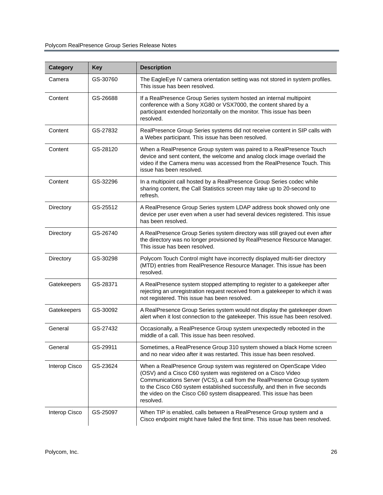| <b>Category</b> | <b>Key</b> | <b>Description</b>                                                                                                                                                                                                                                                                                                                                                            |  |
|-----------------|------------|-------------------------------------------------------------------------------------------------------------------------------------------------------------------------------------------------------------------------------------------------------------------------------------------------------------------------------------------------------------------------------|--|
| Camera          | GS-30760   | The EagleEye IV camera orientation setting was not stored in system profiles.<br>This issue has been resolved.                                                                                                                                                                                                                                                                |  |
| Content         | GS-26688   | If a RealPresence Group Series system hosted an internal multipoint<br>conference with a Sony XG80 or VSX7000, the content shared by a<br>participant extended horizontally on the monitor. This issue has been<br>resolved.                                                                                                                                                  |  |
| Content         | GS-27832   | RealPresence Group Series systems did not receive content in SIP calls with<br>a Webex participant. This issue has been resolved.                                                                                                                                                                                                                                             |  |
| Content         | GS-28120   | When a RealPresence Group system was paired to a RealPresence Touch<br>device and sent content, the welcome and analog clock image overlaid the<br>video if the Camera menu was accessed from the RealPresence Touch. This<br>issue has been resolved.                                                                                                                        |  |
| Content         | GS-32296   | In a multipoint call hosted by a RealPresence Group Series codec while<br>sharing content, the Call Statistics screen may take up to 20-second to<br>refresh.                                                                                                                                                                                                                 |  |
| Directory       | GS-25512   | A RealPresence Group Series system LDAP address book showed only one<br>device per user even when a user had several devices registered. This issue<br>has been resolved.                                                                                                                                                                                                     |  |
| Directory       | GS-26740   | A RealPresence Group Series system directory was still grayed out even after<br>the directory was no longer provisioned by RealPresence Resource Manager.<br>This issue has been resolved.                                                                                                                                                                                    |  |
| Directory       | GS-30298   | Polycom Touch Control might have incorrectly displayed multi-tier directory<br>(MTD) entries from RealPresence Resource Manager. This issue has been<br>resolved.                                                                                                                                                                                                             |  |
| Gatekeepers     | GS-28371   | A RealPresence system stopped attempting to register to a gatekeeper after<br>rejecting an unregistration request received from a gatekeeper to which it was<br>not registered. This issue has been resolved.                                                                                                                                                                 |  |
| Gatekeepers     | GS-30092   | A RealPresence Group Series system would not display the gatekeeper down<br>alert when it lost connection to the gatekeeper. This issue has been resolved.                                                                                                                                                                                                                    |  |
| General         | GS-27432   | Occasionally, a RealPresence Group system unexpectedly rebooted in the<br>middle of a call. This issue has been resolved.                                                                                                                                                                                                                                                     |  |
| General         | GS-29911   | Sometimes, a RealPresence Group 310 system showed a black Home screen<br>and no near video after it was restarted. This issue has been resolved.                                                                                                                                                                                                                              |  |
| Interop Cisco   | GS-23624   | When a RealPresence Group system was registered on OpenScape Video<br>(OSV) and a Cisco C60 system was registered on a Cisco Video<br>Communications Server (VCS), a call from the RealPresence Group system<br>to the Cisco C60 system established successfully, and then in five seconds<br>the video on the Cisco C60 system disappeared. This issue has been<br>resolved. |  |
| Interop Cisco   | GS-25097   | When TIP is enabled, calls between a RealPresence Group system and a<br>Cisco endpoint might have failed the first time. This issue has been resolved.                                                                                                                                                                                                                        |  |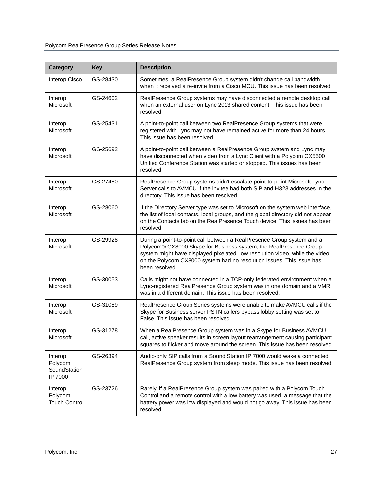| Category                                      | <b>Key</b> | <b>Description</b>                                                                                                                                                                                                                                                                                                     |  |
|-----------------------------------------------|------------|------------------------------------------------------------------------------------------------------------------------------------------------------------------------------------------------------------------------------------------------------------------------------------------------------------------------|--|
| Interop Cisco                                 | GS-28430   | Sometimes, a RealPresence Group system didn't change call bandwidth<br>when it received a re-invite from a Cisco MCU. This issue has been resolved.                                                                                                                                                                    |  |
| Interop<br>Microsoft                          | GS-24602   | RealPresence Group systems may have disconnected a remote desktop call<br>when an external user on Lync 2013 shared content. This issue has been<br>resolved.                                                                                                                                                          |  |
| Interop<br>Microsoft                          | GS-25431   | A point-to-point call between two RealPresence Group systems that were<br>registered with Lync may not have remained active for more than 24 hours.<br>This issue has been resolved.                                                                                                                                   |  |
| Interop<br>Microsoft                          | GS-25692   | A point-to-point call between a RealPresence Group system and Lync may<br>have disconnected when video from a Lync Client with a Polycom CX5500<br>Unified Conference Station was started or stopped. This issues has been<br>resolved.                                                                                |  |
| Interop<br>Microsoft                          | GS-27480   | RealPresence Group systems didn't escalate point-to-point Microsoft Lync<br>Server calls to AVMCU if the invitee had both SIP and H323 addresses in the<br>directory. This issue has been resolved.                                                                                                                    |  |
| Interop<br>Microsoft                          | GS-28060   | If the Directory Server type was set to Microsoft on the system web interface,<br>the list of local contacts, local groups, and the global directory did not appear<br>on the Contacts tab on the RealPresence Touch device. This issues has been<br>resolved.                                                         |  |
| Interop<br>Microsoft                          | GS-29928   | During a point-to-point call between a RealPresence Group system and a<br>Polycom® CX8000 Skype for Business system, the RealPresence Group<br>system might have displayed pixelated, low resolution video, while the video<br>on the Polycom CX8000 system had no resolution issues. This issue has<br>been resolved. |  |
| Interop<br>Microsoft                          | GS-30053   | Calls might not have connected in a TCP-only federated environment when a<br>Lync-registered RealPresence Group system was in one domain and a VMR<br>was in a different domain. This issue has been resolved.                                                                                                         |  |
| Interop<br>Microsoft                          | GS-31089   | RealPresence Group Series systems were unable to make AVMCU calls if the<br>Skype for Business server PSTN callers bypass lobby setting was set to<br>False. This issue has been resolved.                                                                                                                             |  |
| Interop<br>Microsoft                          | GS-31278   | When a RealPresence Group system was in a Skype for Business AVMCU<br>call, active speaker results in screen layout rearrangement causing participant<br>squares to flicker and move around the screen. This issue has been resolved.                                                                                  |  |
| Interop<br>Polycom<br>SoundStation<br>IP 7000 | GS-26394   | Audio-only SIP calls from a Sound Station IP 7000 would wake a connected<br>RealPresence Group system from sleep mode. This issue has been resolved                                                                                                                                                                    |  |
| Interop<br>Polycom<br><b>Touch Control</b>    | GS-23726   | Rarely, if a RealPresence Group system was paired with a Polycom Touch<br>Control and a remote control with a low battery was used, a message that the<br>battery power was low displayed and would not go away. This issue has been<br>resolved.                                                                      |  |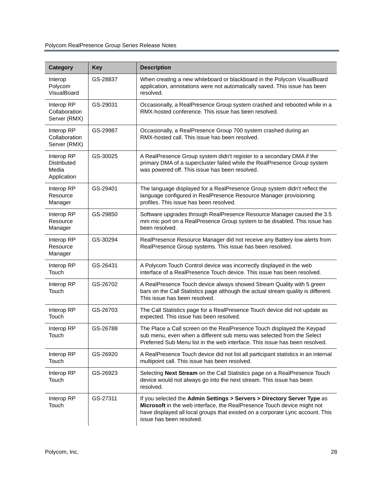| Category                                                 | <b>Key</b> | <b>Description</b>                                                                                                                                                                                                                                               |  |
|----------------------------------------------------------|------------|------------------------------------------------------------------------------------------------------------------------------------------------------------------------------------------------------------------------------------------------------------------|--|
| Interop<br>Polycom<br>VisualBoard                        | GS-28837   | When creating a new whiteboard or blackboard in the Polycom VisualBoard<br>application, annotations were not automatically saved. This issue has been<br>resolved.                                                                                               |  |
| Interop RP<br>Collaboration<br>Server (RMX)              | GS-29031   | Occasionally, a RealPresence Group system crashed and rebooted while in a<br>RMX-hosted conference. This issue has been resolved.                                                                                                                                |  |
| Interop RP<br>Collaboration<br>Server (RMX)              | GS-29987   | Occasionally, a RealPresence Group 700 system crashed during an<br>RMX-hosted call. This issue has been resolved.                                                                                                                                                |  |
| Interop RP<br><b>Distributed</b><br>Media<br>Application | GS-30025   | A RealPresence Group system didn't register to a secondary DMA if the<br>primary DMA of a supercluster failed while the RealPresence Group system<br>was powered off. This issue has been resolved.                                                              |  |
| Interop RP<br>Resource<br>Manager                        | GS-29401   | The language displayed for a RealPresence Group system didn't reflect the<br>language configured in RealPresence Resource Manager provisioning<br>profiles. This issue has been resolved.                                                                        |  |
| Interop RP<br>Resource<br>Manager                        | GS-29850   | Software upgrades through RealPresence Resource Manager caused the 3.5<br>mm mic port on a RealPresence Group system to be disabled. This issue has<br>been resolved.                                                                                            |  |
| Interop RP<br>Resource<br>Manager                        | GS-30294   | RealPresence Resource Manager did not receive any Battery low alerts from<br>RealPresence Group systems. This issue has been resolved.                                                                                                                           |  |
| Interop RP<br>Touch                                      | GS-26431   | A Polycom Touch Control device was incorrectly displayed in the web<br>interface of a RealPresence Touch device. This issue has been resolved.                                                                                                                   |  |
| Interop RP<br>Touch                                      | GS-26702   | A RealPresence Touch device always showed Stream Quality with 5 green<br>bars on the Call Statistics page although the actual stream quality is different.<br>This issue has been resolved.                                                                      |  |
| Interop RP<br>Touch                                      | GS-26703   | The Call Statistics page for a RealPresence Touch device did not update as<br>expected. This issue has been resolved.                                                                                                                                            |  |
| Interop RP<br>Touch                                      | GS-26788   | The Place a Call screen on the RealPresence Touch displayed the Keypad<br>sub menu, even when a different sub menu was selected from the Select<br>Preferred Sub Menu list in the web interface. This issue has been resolved.                                   |  |
| Interop RP<br>Touch                                      | GS-26920   | A RealPresence Touch device did not list all participant statistics in an internal<br>multipoint call. This issue has been resolved.                                                                                                                             |  |
| Interop RP<br>Touch                                      | GS-26923   | Selecting Next Stream on the Call Statistics page on a RealPresence Touch<br>device would not always go into the next stream. This issue has been<br>resolved.                                                                                                   |  |
| Interop RP<br>Touch                                      | GS-27311   | If you selected the Admin Settings > Servers > Directory Server Type as<br>Microsoft in the web interface, the RealPresence Touch device might not<br>have displayed all local groups that existed on a corporate Lync account. This<br>issue has been resolved. |  |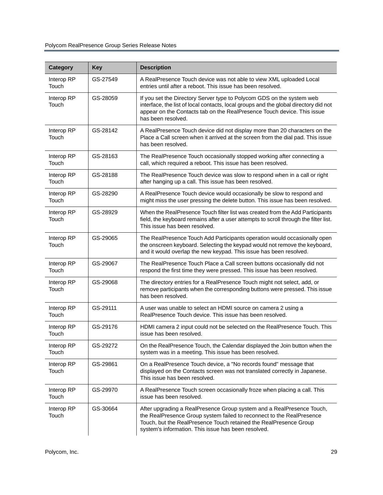| <b>Category</b>     | <b>Key</b> | <b>Description</b>                                                                                                                                                                                                                                                         |  |
|---------------------|------------|----------------------------------------------------------------------------------------------------------------------------------------------------------------------------------------------------------------------------------------------------------------------------|--|
| Interop RP<br>Touch | GS-27549   | A RealPresence Touch device was not able to view XML uploaded Local<br>entries until after a reboot. This issue has been resolved.                                                                                                                                         |  |
| Interop RP<br>Touch | GS-28059   | If you set the Directory Server type to Polycom GDS on the system web<br>interface, the list of local contacts, local groups and the global directory did not<br>appear on the Contacts tab on the RealPresence Touch device. This issue<br>has been resolved.             |  |
| Interop RP<br>Touch | GS-28142   | A RealPresence Touch device did not display more than 20 characters on the<br>Place a Call screen when it arrived at the screen from the dial pad. This issue<br>has been resolved.                                                                                        |  |
| Interop RP<br>Touch | GS-28163   | The RealPresence Touch occasionally stopped working after connecting a<br>call, which required a reboot. This issue has been resolved.                                                                                                                                     |  |
| Interop RP<br>Touch | GS-28188   | The RealPresence Touch device was slow to respond when in a call or right<br>after hanging up a call. This issue has been resolved.                                                                                                                                        |  |
| Interop RP<br>Touch | GS-28290   | A RealPresence Touch device would occasionally be slow to respond and<br>might miss the user pressing the delete button. This issue has been resolved.                                                                                                                     |  |
| Interop RP<br>Touch | GS-28929   | When the RealPresence Touch filter list was created from the Add Participants<br>field, the keyboard remains after a user attempts to scroll through the filter list.<br>This issue has been resolved.                                                                     |  |
| Interop RP<br>Touch | GS-29065   | The RealPresence Touch Add Participants operation would occasionally open<br>the onscreen keyboard. Selecting the keypad would not remove the keyboard,<br>and it would overlap the new keypad. This issue has been resolved.                                              |  |
| Interop RP<br>Touch | GS-29067   | The RealPresence Touch Place a Call screen buttons occasionally did not<br>respond the first time they were pressed. This issue has been resolved.                                                                                                                         |  |
| Interop RP<br>Touch | GS-29068   | The directory entries for a RealPresence Touch might not select, add, or<br>remove participants when the corresponding buttons were pressed. This issue<br>has been resolved.                                                                                              |  |
| Interop RP<br>Touch | GS-29111   | A user was unable to select an HDMI source on camera 2 using a<br>RealPresence Touch device. This issue has been resolved.                                                                                                                                                 |  |
| Interop RP<br>Touch | GS-29176   | HDMI camera 2 input could not be selected on the RealPresence Touch. This<br>issue has been resolved.                                                                                                                                                                      |  |
| Interop RP<br>Touch | GS-29272   | On the RealPresence Touch, the Calendar displayed the Join button when the<br>system was in a meeting. This issue has been resolved.                                                                                                                                       |  |
| Interop RP<br>Touch | GS-29861   | On a RealPresence Touch device, a "No records found" message that<br>displayed on the Contacts screen was not translated correctly in Japanese.<br>This issue has been resolved.                                                                                           |  |
| Interop RP<br>Touch | GS-29970   | A RealPresence Touch screen occasionally froze when placing a call. This<br>issue has been resolved.                                                                                                                                                                       |  |
| Interop RP<br>Touch | GS-30664   | After upgrading a RealPresence Group system and a RealPresence Touch,<br>the RealPresence Group system failed to reconnect to the RealPresence<br>Touch, but the RealPresence Touch retained the RealPresence Group<br>system's information. This issue has been resolved. |  |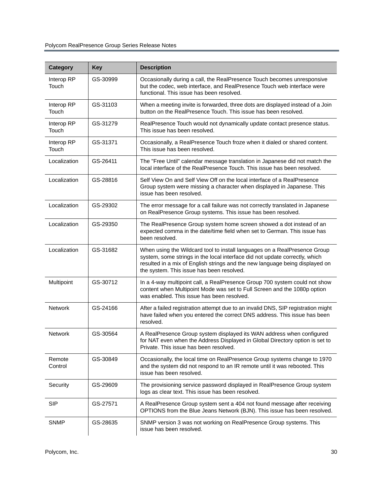| <b>Category</b>     | <b>Key</b> | <b>Description</b>                                                                                                                                                                                                                                                                    |  |
|---------------------|------------|---------------------------------------------------------------------------------------------------------------------------------------------------------------------------------------------------------------------------------------------------------------------------------------|--|
| Interop RP<br>Touch | GS-30999   | Occasionally during a call, the RealPresence Touch becomes unresponsive<br>but the codec, web interface, and RealPresence Touch web interface were<br>functional. This issue has been resolved.                                                                                       |  |
| Interop RP<br>Touch | GS-31103   | When a meeting invite is forwarded, three dots are displayed instead of a Join<br>button on the RealPresence Touch. This issue has been resolved.                                                                                                                                     |  |
| Interop RP<br>Touch | GS-31279   | RealPresence Touch would not dynamically update contact presence status.<br>This issue has been resolved.                                                                                                                                                                             |  |
| Interop RP<br>Touch | GS-31371   | Occasionally, a RealPresence Touch froze when it dialed or shared content.<br>This issue has been resolved.                                                                                                                                                                           |  |
| Localization        | GS-26411   | The "Free Until" calendar message translation in Japanese did not match the<br>local interface of the RealPresence Touch. This issue has been resolved.                                                                                                                               |  |
| Localization        | GS-28816   | Self View On and Self View Off on the local interface of a RealPresence<br>Group system were missing a character when displayed in Japanese. This<br>issue has been resolved.                                                                                                         |  |
| Localization        | GS-29302   | The error message for a call failure was not correctly translated in Japanese<br>on RealPresence Group systems. This issue has been resolved.                                                                                                                                         |  |
| Localization        | GS-29350   | The RealPresence Group system home screen showed a dot instead of an<br>expected comma in the date/time field when set to German. This issue has<br>been resolved.                                                                                                                    |  |
| Localization        | GS-31682   | When using the Wildcard tool to install languages on a RealPresence Group<br>system, some strings in the local interface did not update correctly, which<br>resulted in a mix of English strings and the new language being displayed on<br>the system. This issue has been resolved. |  |
| Multipoint          | GS-30712   | In a 4-way multipoint call, a RealPresence Group 700 system could not show<br>content when Multipoint Mode was set to Full Screen and the 1080p option<br>was enabled. This issue has been resolved.                                                                                  |  |
| Network             | GS-24166   | After a failed registration attempt due to an invalid DNS, SIP registration might<br>have failed when you entered the correct DNS address. This issue has been<br>resolved.                                                                                                           |  |
| <b>Network</b>      | GS-30564   | A RealPresence Group system displayed its WAN address when configured<br>for NAT even when the Address Displayed in Global Directory option is set to<br>Private. This issue has been resolved.                                                                                       |  |
| Remote<br>Control   | GS-30849   | Occasionally, the local time on RealPresence Group systems change to 1970<br>and the system did not respond to an IR remote until it was rebooted. This<br>issue has been resolved.                                                                                                   |  |
| Security            | GS-29609   | The provisioning service password displayed in RealPresence Group system<br>logs as clear text. This issue has been resolved.                                                                                                                                                         |  |
| <b>SIP</b>          | GS-27571   | A RealPresence Group system sent a 404 not found message after receiving<br>OPTIONS from the Blue Jeans Network (BJN). This issue has been resolved.                                                                                                                                  |  |
| <b>SNMP</b>         | GS-28635   | SNMP version 3 was not working on RealPresence Group systems. This<br>issue has been resolved.                                                                                                                                                                                        |  |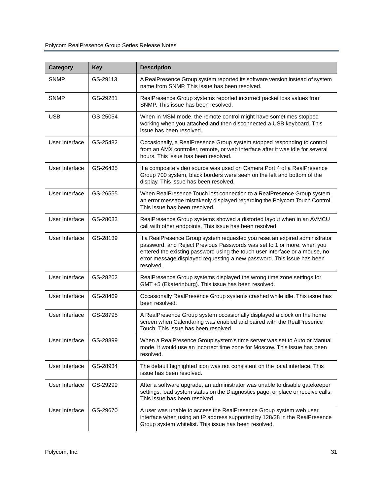| <b>Category</b> | <b>Key</b> | <b>Description</b>                                                                                                                                                                                                                                                                                                          |  |
|-----------------|------------|-----------------------------------------------------------------------------------------------------------------------------------------------------------------------------------------------------------------------------------------------------------------------------------------------------------------------------|--|
| SNMP            | GS-29113   | A RealPresence Group system reported its software version instead of system<br>name from SNMP. This issue has been resolved.                                                                                                                                                                                                |  |
| <b>SNMP</b>     | GS-29281   | RealPresence Group systems reported incorrect packet loss values from<br>SNMP. This issue has been resolved.                                                                                                                                                                                                                |  |
| <b>USB</b>      | GS-25054   | When in MSM mode, the remote control might have sometimes stopped<br>working when you attached and then disconnected a USB keyboard. This<br>issue has been resolved.                                                                                                                                                       |  |
| User Interface  | GS-25482   | Occasionally, a RealPresence Group system stopped responding to control<br>from an AMX controller, remote, or web interface after it was idle for several<br>hours. This issue has been resolved.                                                                                                                           |  |
| User Interface  | GS-26435   | If a composite video source was used on Camera Port 4 of a RealPresence<br>Group 700 system, black borders were seen on the left and bottom of the<br>display. This issue has been resolved.                                                                                                                                |  |
| User Interface  | GS-26555   | When RealPresence Touch lost connection to a RealPresence Group system,<br>an error message mistakenly displayed regarding the Polycom Touch Control.<br>This issue has been resolved.                                                                                                                                      |  |
| User Interface  | GS-28033   | RealPresence Group systems showed a distorted layout when in an AVMCU<br>call with other endpoints. This issue has been resolved.                                                                                                                                                                                           |  |
| User Interface  | GS-28139   | If a RealPresence Group system requested you reset an expired administrator<br>password, and Reject Previous Passwords was set to 1 or more, when you<br>entered the existing password using the touch user interface or a mouse, no<br>error message displayed requesting a new password. This issue has been<br>resolved. |  |
| User Interface  | GS-28262   | RealPresence Group systems displayed the wrong time zone settings for<br>GMT +5 (Ekaterinburg). This issue has been resolved.                                                                                                                                                                                               |  |
| User Interface  | GS-28469   | Occasionally RealPresence Group systems crashed while idle. This issue has<br>been resolved.                                                                                                                                                                                                                                |  |
| User Interface  | GS-28795   | A RealPresence Group system occasionally displayed a clock on the home<br>screen when Calendaring was enabled and paired with the RealPresence<br>Touch. This issue has been resolved.                                                                                                                                      |  |
| User Interface  | GS-28899   | When a RealPresence Group system's time server was set to Auto or Manual<br>mode, it would use an incorrect time zone for Moscow. This issue has been<br>resolved.                                                                                                                                                          |  |
| User Interface  | GS-28934   | The default highlighted icon was not consistent on the local interface. This<br>issue has been resolved.                                                                                                                                                                                                                    |  |
| User Interface  | GS-29299   | After a software upgrade, an administrator was unable to disable gatekeeper<br>settings, load system status on the Diagnostics page, or place or receive calls.<br>This issue has been resolved.                                                                                                                            |  |
| User Interface  | GS-29670   | A user was unable to access the RealPresence Group system web user<br>interface when using an IP address supported by 128/28 in the RealPresence<br>Group system whitelist. This issue has been resolved.                                                                                                                   |  |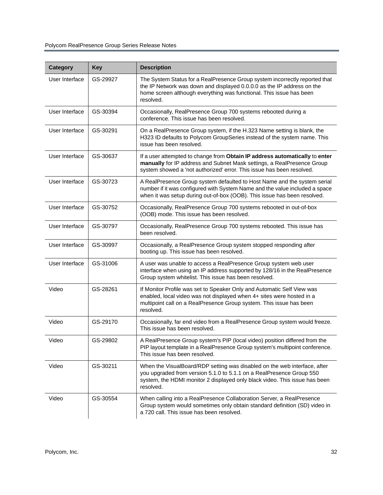| <b>Category</b> | <b>Key</b> | <b>Description</b>                                                                                                                                                                                                                           |  |
|-----------------|------------|----------------------------------------------------------------------------------------------------------------------------------------------------------------------------------------------------------------------------------------------|--|
| User Interface  | GS-29927   | The System Status for a RealPresence Group system incorrectly reported that<br>the IP Network was down and displayed 0.0.0.0 as the IP address on the<br>home screen although everything was functional. This issue has been<br>resolved.    |  |
| User Interface  | GS-30394   | Occasionally, RealPresence Group 700 systems rebooted during a<br>conference. This issue has been resolved.                                                                                                                                  |  |
| User Interface  | GS-30291   | On a RealPresence Group system, if the H.323 Name setting is blank, the<br>H323 ID defaults to Polycom GroupSeries instead of the system name. This<br>issue has been resolved.                                                              |  |
| User Interface  | GS-30637   | If a user attempted to change from Obtain IP address automatically to enter<br>manually for IP address and Subnet Mask settings, a RealPresence Group<br>system showed a 'not authorized' error. This issue has been resolved.               |  |
| User Interface  | GS-30723   | A RealPresence Group system defaulted to Host Name and the system serial<br>number if it was configured with System Name and the value included a space<br>when it was setup during out-of-box (OOB). This issue has been resolved.          |  |
| User Interface  | GS-30752   | Occasionally, RealPresence Group 700 systems rebooted in out-of-box<br>(OOB) mode. This issue has been resolved.                                                                                                                             |  |
| User Interface  | GS-30797   | Occasionally, RealPresence Group 700 systems rebooted. This issue has<br>been resolved.                                                                                                                                                      |  |
| User Interface  | GS-30997   | Occasionally, a RealPresence Group system stopped responding after<br>booting up. This issue has been resolved.                                                                                                                              |  |
| User Interface  | GS-31006   | A user was unable to access a RealPresence Group system web user<br>interface when using an IP address supported by 128/16 in the RealPresence<br>Group system whitelist. This issue has been resolved.                                      |  |
| Video           | GS-28261   | If Monitor Profile was set to Speaker Only and Automatic Self View was<br>enabled, local video was not displayed when 4+ sites were hosted in a<br>multipoint call on a RealPresence Group system. This issue has been<br>resolved.          |  |
| Video           | GS-29170   | Occasionally, far end video from a RealPresence Group system would freeze.<br>This issue has been resolved.                                                                                                                                  |  |
| Video           | GS-29802   | A RealPresence Group system's PIP (local video) position differed from the<br>PIP layout template in a RealPresence Group system's multipoint conference.<br>This issue has been resolved.                                                   |  |
| Video           | GS-30211   | When the VisualBoard/RDP setting was disabled on the web interface, after<br>you upgraded from version 5.1.0 to 5.1.1 on a RealPresence Group 550<br>system, the HDMI monitor 2 displayed only black video. This issue has been<br>resolved. |  |
| Video           | GS-30554   | When calling into a RealPresence Collaboration Server, a RealPresence<br>Group system would sometimes only obtain standard definition (SD) video in<br>a 720 call. This issue has been resolved.                                             |  |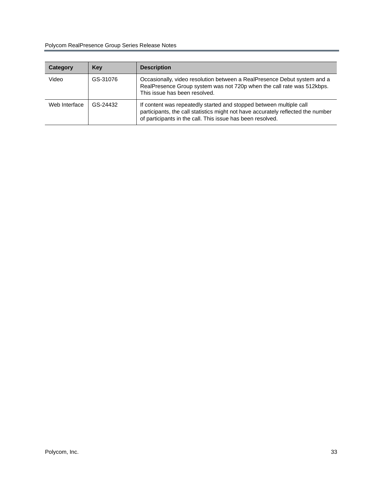| Category      | Key      | <b>Description</b>                                                                                                                                                                                                    |
|---------------|----------|-----------------------------------------------------------------------------------------------------------------------------------------------------------------------------------------------------------------------|
| Video         | GS-31076 | Occasionally, video resolution between a RealPresence Debut system and a<br>RealPresence Group system was not 720p when the call rate was 512kbps.<br>This issue has been resolved.                                   |
| Web Interface | GS-24432 | If content was repeatedly started and stopped between multiple call<br>participants, the call statistics might not have accurately reflected the number<br>of participants in the call. This issue has been resolved. |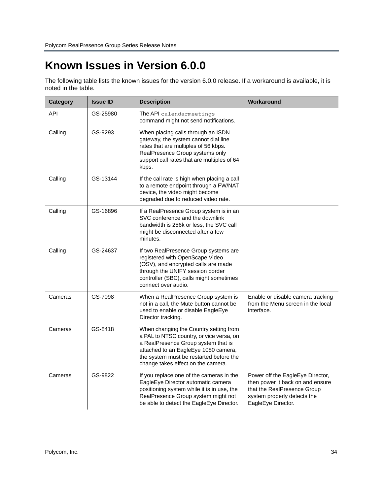## <span id="page-33-0"></span>**Known Issues in Version 6.0.0**

The following table lists the known issues for the version 6.0.0 release. If a workaround is available, it is noted in the table.

| <b>Category</b> | <b>Issue ID</b> | <b>Description</b>                                                                                                                                                                                                                                 | Workaround                                                                                                                                               |
|-----------------|-----------------|----------------------------------------------------------------------------------------------------------------------------------------------------------------------------------------------------------------------------------------------------|----------------------------------------------------------------------------------------------------------------------------------------------------------|
| <b>API</b>      | GS-25980        | The API calendarmeetings<br>command might not send notifications.                                                                                                                                                                                  |                                                                                                                                                          |
| Calling         | GS-9293         | When placing calls through an ISDN<br>gateway, the system cannot dial line<br>rates that are multiples of 56 kbps.<br>RealPresence Group systems only<br>support call rates that are multiples of 64<br>kbps.                                      |                                                                                                                                                          |
| Calling         | GS-13144        | If the call rate is high when placing a call<br>to a remote endpoint through a FW/NAT<br>device, the video might become<br>degraded due to reduced video rate.                                                                                     |                                                                                                                                                          |
| Calling         | GS-16896        | If a RealPresence Group system is in an<br>SVC conference and the downlink<br>bandwidth is 256k or less, the SVC call<br>might be disconnected after a few<br>minutes.                                                                             |                                                                                                                                                          |
| Calling         | GS-24637        | If two RealPresence Group systems are<br>registered with OpenScape Video<br>(OSV), and encrypted calls are made<br>through the UNIFY session border<br>controller (SBC), calls might sometimes<br>connect over audio.                              |                                                                                                                                                          |
| Cameras         | GS-7098         | When a RealPresence Group system is<br>not in a call, the Mute button cannot be<br>used to enable or disable EagleEye<br>Director tracking.                                                                                                        | Enable or disable camera tracking<br>from the Menu screen in the local<br>interface.                                                                     |
| Cameras         | GS-8418         | When changing the Country setting from<br>a PAL to NTSC country, or vice versa, on<br>a RealPresence Group system that is<br>attached to an EagleEye 1080 camera,<br>the system must be restarted before the<br>change takes effect on the camera. |                                                                                                                                                          |
| Cameras         | GS-9822         | If you replace one of the cameras in the<br>EagleEye Director automatic camera<br>positioning system while it is in use, the<br>RealPresence Group system might not<br>be able to detect the EagleEye Director.                                    | Power off the EagleEye Director,<br>then power it back on and ensure<br>that the RealPresence Group<br>system properly detects the<br>EagleEye Director. |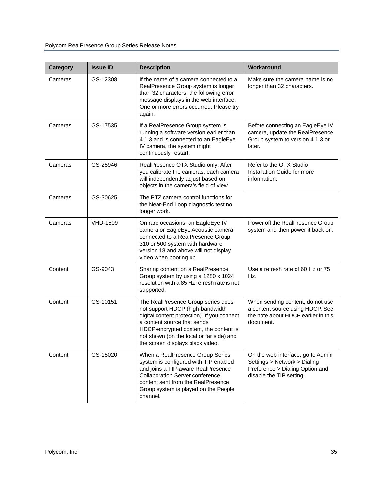| <b>Category</b> | <b>Issue ID</b> | <b>Description</b>                                                                                                                                                                                                                                                             | Workaround                                                                                                                       |
|-----------------|-----------------|--------------------------------------------------------------------------------------------------------------------------------------------------------------------------------------------------------------------------------------------------------------------------------|----------------------------------------------------------------------------------------------------------------------------------|
| Cameras         | GS-12308        | If the name of a camera connected to a<br>RealPresence Group system is longer<br>than 32 characters, the following error<br>message displays in the web interface:<br>One or more errors occurred. Please try<br>again.                                                        | Make sure the camera name is no<br>longer than 32 characters.                                                                    |
| Cameras         | GS-17535        | If a RealPresence Group system is<br>running a software version earlier than<br>4.1.3 and is connected to an EagleEye<br>IV camera, the system might<br>continuously restart.                                                                                                  | Before connecting an EagleEye IV<br>camera, update the RealPresence<br>Group system to version 4.1.3 or<br>later.                |
| Cameras         | GS-25946        | RealPresence OTX Studio only: After<br>you calibrate the cameras, each camera<br>will independently adjust based on<br>objects in the camera's field of view.                                                                                                                  | Refer to the OTX Studio<br>Installation Guide for more<br>information.                                                           |
| Cameras         | GS-30625        | The PTZ camera control functions for<br>the Near-End Loop diagnostic test no<br>longer work.                                                                                                                                                                                   |                                                                                                                                  |
| Cameras         | <b>VHD-1509</b> | On rare occasions, an EagleEye IV<br>camera or EagleEye Acoustic camera<br>connected to a RealPresence Group<br>310 or 500 system with hardware<br>version 18 and above will not display<br>video when booting up.                                                             | Power off the RealPresence Group<br>system and then power it back on.                                                            |
| Content         | GS-9043         | Sharing content on a RealPresence<br>Group system by using a 1280 x 1024<br>resolution with a 85 Hz refresh rate is not<br>supported.                                                                                                                                          | Use a refresh rate of 60 Hz or 75<br>Hz.                                                                                         |
| Content         | GS-10151        | The RealPresence Group series does<br>not support HDCP (high-bandwidth<br>digital content protection). If you connect<br>a content source that sends<br>HDCP-encrypted content, the content is<br>not shown (on the local or far side) and<br>the screen displays black video. | When sending content, do not use<br>a content source using HDCP. See<br>the note about HDCP earlier in this<br>document.         |
| Content         | GS-15020        | When a RealPresence Group Series<br>system is configured with TIP enabled<br>and joins a TIP-aware RealPresence<br>Collaboration Server conference,<br>content sent from the RealPresence<br>Group system is played on the People<br>channel.                                  | On the web interface, go to Admin<br>Settings > Network > Dialing<br>Preference > Dialing Option and<br>disable the TIP setting. |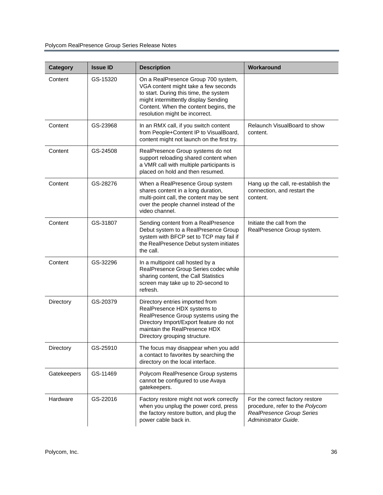| Category    | <b>Issue ID</b> | <b>Description</b>                                                                                                                                                                                                                       | Workaround                                                                                                              |
|-------------|-----------------|------------------------------------------------------------------------------------------------------------------------------------------------------------------------------------------------------------------------------------------|-------------------------------------------------------------------------------------------------------------------------|
| Content     | GS-15320        | On a RealPresence Group 700 system,<br>VGA content might take a few seconds<br>to start. During this time, the system<br>might intermittently display Sending<br>Content. When the content begins, the<br>resolution might be incorrect. |                                                                                                                         |
| Content     | GS-23968        | In an RMX call, if you switch content<br>from People+Content IP to VisualBoard,<br>content might not launch on the first try.                                                                                                            | Relaunch VisualBoard to show<br>content.                                                                                |
| Content     | GS-24508        | RealPresence Group systems do not<br>support reloading shared content when<br>a VMR call with multiple participants is<br>placed on hold and then resumed.                                                                               |                                                                                                                         |
| Content     | GS-28276        | When a RealPresence Group system<br>shares content in a long duration,<br>multi-point call, the content may be sent<br>over the people channel instead of the<br>video channel.                                                          | Hang up the call, re-establish the<br>connection, and restart the<br>content.                                           |
| Content     | GS-31807        | Sending content from a RealPresence<br>Debut system to a RealPresence Group<br>system with BFCP set to TCP may fail if<br>the RealPresence Debut system initiates<br>the call.                                                           | Initiate the call from the<br>RealPresence Group system.                                                                |
| Content     | GS-32296        | In a multipoint call hosted by a<br>RealPresence Group Series codec while<br>sharing content, the Call Statistics<br>screen may take up to 20-second to<br>refresh.                                                                      |                                                                                                                         |
| Directory   | GS-20379        | Directory entries imported from<br>RealPresence HDX systems to<br>RealPresence Group systems using the<br>Directory Import/Export feature do not<br>maintain the RealPresence HDX<br>Directory grouping structure.                       |                                                                                                                         |
| Directory   | GS-25910        | The focus may disappear when you add<br>a contact to favorites by searching the<br>directory on the local interface.                                                                                                                     |                                                                                                                         |
| Gatekeepers | GS-11469        | Polycom RealPresence Group systems<br>cannot be configured to use Avaya<br>gatekeepers.                                                                                                                                                  |                                                                                                                         |
| Hardware    | GS-22016        | Factory restore might not work correctly<br>when you unplug the power cord, press<br>the factory restore button, and plug the<br>power cable back in.                                                                                    | For the correct factory restore<br>procedure, refer to the Polycom<br>RealPresence Group Series<br>Administrator Guide. |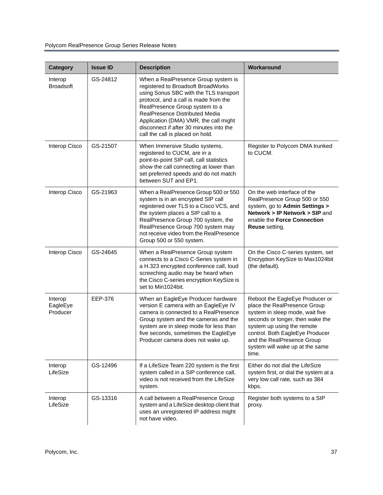| <b>Category</b>                 | <b>Issue ID</b> | <b>Description</b>                                                                                                                                                                                                                                                                                                                                       | Workaround                                                                                                                                                                                                                                                                        |
|---------------------------------|-----------------|----------------------------------------------------------------------------------------------------------------------------------------------------------------------------------------------------------------------------------------------------------------------------------------------------------------------------------------------------------|-----------------------------------------------------------------------------------------------------------------------------------------------------------------------------------------------------------------------------------------------------------------------------------|
| Interop<br><b>Broadsoft</b>     | GS-24812        | When a RealPresence Group system is<br>registered to Broadsoft BroadWorks<br>using Sonus SBC with the TLS transport<br>protocol, and a call is made from the<br>RealPresence Group system to a<br>RealPresence Distributed Media<br>Application (DMA) VMR, the call might<br>disconnect if after 30 minutes into the<br>call the call is placed on hold. |                                                                                                                                                                                                                                                                                   |
| Interop Cisco                   | GS-21507        | When Immersive Studio systems,<br>registered to CUCM, are in a<br>point-to-point SIP call, call statistics<br>show the call connecting at lower than<br>set preferred speeds and do not match<br>between SUT and EP1.                                                                                                                                    | Register to Polycom DMA trunked<br>to CUCM.                                                                                                                                                                                                                                       |
| Interop Cisco                   | GS-21963        | When a RealPresence Group 500 or 550<br>system is in an encrypted SIP call<br>registered over TLS to a Cisco VCS, and<br>the system places a SIP call to a<br>RealPresence Group 700 system, the<br>RealPresence Group 700 system may<br>not receive video from the RealPresence<br>Group 500 or 550 system.                                             | On the web interface of the<br>RealPresence Group 500 or 550<br>system, go to Admin Settings ><br>Network > IP Network > SIP and<br>enable the Force Connection<br><b>Reuse</b> setting.                                                                                          |
| Interop Cisco                   | GS-24645        | When a RealPresence Group system<br>connects to a Cisco C-Series system in<br>a H.323 encrypted conference call, loud<br>screeching audio may be heard when<br>the Cisco C-series encryption KeySize is<br>set to Min1024bit.                                                                                                                            | On the Cisco C-series system, set<br>Encryption KeySize to Max1024bit<br>(the default).                                                                                                                                                                                           |
| Interop<br>EagleEye<br>Producer | EEP-376         | When an EagleEye Producer hardware<br>version E camera with an EagleEye IV<br>camera is connected to a RealPresence<br>Group system and the cameras and the<br>system are in sleep mode for less than<br>five seconds, sometimes the EagleEye<br>Producer camera does not wake up.                                                                       | Reboot the EagleEye Producer or<br>place the RealPresence Group<br>system in sleep mode, wait five<br>seconds or longer, then wake the<br>system up using the remote<br>control. Both EagleEye Producer<br>and the RealPresence Group<br>system will wake up at the same<br>time. |
| Interop<br>LifeSize             | GS-12496        | If a LifeSize Team 220 system is the first<br>system called in a SIP conference call,<br>video is not received from the LifeSize<br>system.                                                                                                                                                                                                              | Either do not dial the LifeSize<br>system first, or dial the system at a<br>very low call rate, such as 384<br>kbps.                                                                                                                                                              |
| Interop<br>LifeSize             | GS-13316        | A call between a RealPresence Group<br>system and a LifeSize desktop client that<br>uses an unregistered IP address might<br>not have video.                                                                                                                                                                                                             | Register both systems to a SIP<br>proxy.                                                                                                                                                                                                                                          |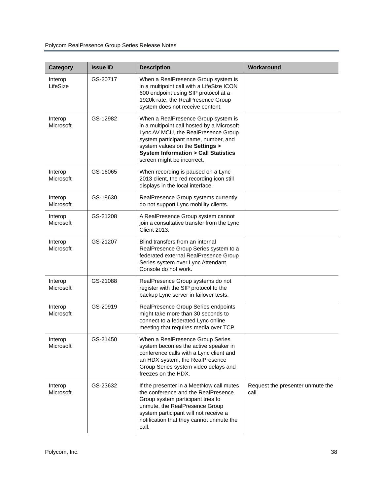| <b>Category</b>      | <b>Issue ID</b> | <b>Description</b>                                                                                                                                                                                                                                                                  | Workaround                                |
|----------------------|-----------------|-------------------------------------------------------------------------------------------------------------------------------------------------------------------------------------------------------------------------------------------------------------------------------------|-------------------------------------------|
| Interop<br>LifeSize  | GS-20717        | When a RealPresence Group system is<br>in a multipoint call with a LifeSize ICON<br>600 endpoint using SIP protocol at a<br>1920k rate, the RealPresence Group<br>system does not receive content.                                                                                  |                                           |
| Interop<br>Microsoft | GS-12982        | When a RealPresence Group system is<br>in a multipoint call hosted by a Microsoft<br>Lync AV MCU, the RealPresence Group<br>system participant name, number, and<br>system values on the Settings ><br><b>System Information &gt; Call Statistics</b><br>screen might be incorrect. |                                           |
| Interop<br>Microsoft | GS-16065        | When recording is paused on a Lync<br>2013 client, the red recording icon still<br>displays in the local interface.                                                                                                                                                                 |                                           |
| Interop<br>Microsoft | GS-18630        | RealPresence Group systems currently<br>do not support Lync mobility clients.                                                                                                                                                                                                       |                                           |
| Interop<br>Microsoft | GS-21208        | A RealPresence Group system cannot<br>join a consultative transfer from the Lync<br><b>Client 2013.</b>                                                                                                                                                                             |                                           |
| Interop<br>Microsoft | GS-21207        | Blind transfers from an internal<br>RealPresence Group Series system to a<br>federated external RealPresence Group<br>Series system over Lync Attendant<br>Console do not work.                                                                                                     |                                           |
| Interop<br>Microsoft | GS-21088        | RealPresence Group systems do not<br>register with the SIP protocol to the<br>backup Lync server in failover tests.                                                                                                                                                                 |                                           |
| Interop<br>Microsoft | GS-20919        | RealPresence Group Series endpoints<br>might take more than 30 seconds to<br>connect to a federated Lync online<br>meeting that requires media over TCP.                                                                                                                            |                                           |
| Interop<br>Microsoft | GS-21450        | When a RealPresence Group Series<br>system becomes the active speaker in<br>conference calls with a Lync client and<br>an HDX system, the RealPresence<br>Group Series system video delays and<br>freezes on the HDX.                                                               |                                           |
| Interop<br>Microsoft | GS-23632        | If the presenter in a MeetNow call mutes<br>the conference and the RealPresence<br>Group system participant tries to<br>unmute, the RealPresence Group<br>system participant will not receive a<br>notification that they cannot unmute the<br>call.                                | Request the presenter unmute the<br>call. |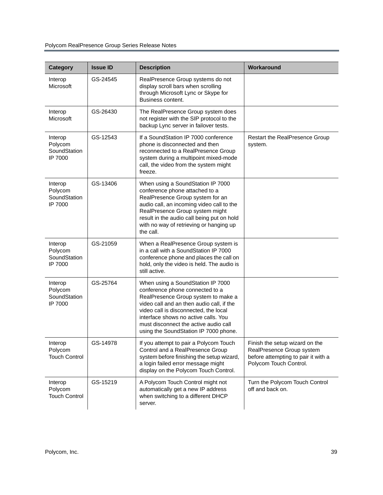| <b>Category</b>                               | <b>Issue ID</b> | <b>Description</b>                                                                                                                                                                                                                                                                                                          | Workaround                                                                                                                   |
|-----------------------------------------------|-----------------|-----------------------------------------------------------------------------------------------------------------------------------------------------------------------------------------------------------------------------------------------------------------------------------------------------------------------------|------------------------------------------------------------------------------------------------------------------------------|
| Interop<br>Microsoft                          | GS-24545        | RealPresence Group systems do not<br>display scroll bars when scrolling<br>through Microsoft Lync or Skype for<br>Business content.                                                                                                                                                                                         |                                                                                                                              |
| Interop<br>Microsoft                          | GS-26430        | The RealPresence Group system does<br>not register with the SIP protocol to the<br>backup Lync server in failover tests.                                                                                                                                                                                                    |                                                                                                                              |
| Interop<br>Polycom<br>SoundStation<br>IP 7000 | GS-12543        | If a SoundStation IP 7000 conference<br>phone is disconnected and then<br>reconnected to a RealPresence Group<br>system during a multipoint mixed-mode<br>call, the video from the system might<br>freeze.                                                                                                                  | Restart the RealPresence Group<br>system.                                                                                    |
| Interop<br>Polycom<br>SoundStation<br>IP 7000 | GS-13406        | When using a SoundStation IP 7000<br>conference phone attached to a<br>RealPresence Group system for an<br>audio call, an incoming video call to the<br>RealPresence Group system might<br>result in the audio call being put on hold<br>with no way of retrieving or hanging up<br>the call.                               |                                                                                                                              |
| Interop<br>Polycom<br>SoundStation<br>IP 7000 | GS-21059        | When a RealPresence Group system is<br>in a call with a SoundStation IP 7000<br>conference phone and places the call on<br>hold, only the video is held. The audio is<br>still active.                                                                                                                                      |                                                                                                                              |
| Interop<br>Polycom<br>SoundStation<br>IP 7000 | GS-25764        | When using a SoundStation IP 7000<br>conference phone connected to a<br>RealPresence Group system to make a<br>video call and an then audio call, if the<br>video call is disconnected, the local<br>interface shows no active calls. You<br>must disconnect the active audio call<br>using the SoundStation IP 7000 phone. |                                                                                                                              |
| Interop<br>Polycom<br><b>Touch Control</b>    | GS-14978        | If you attempt to pair a Polycom Touch<br>Control and a RealPresence Group<br>system before finishing the setup wizard,<br>a login failed error message might<br>display on the Polycom Touch Control.                                                                                                                      | Finish the setup wizard on the<br>RealPresence Group system<br>before attempting to pair it with a<br>Polycom Touch Control. |
| Interop<br>Polycom<br><b>Touch Control</b>    | GS-15219        | A Polycom Touch Control might not<br>automatically get a new IP address<br>when switching to a different DHCP<br>server.                                                                                                                                                                                                    | Turn the Polycom Touch Control<br>off and back on.                                                                           |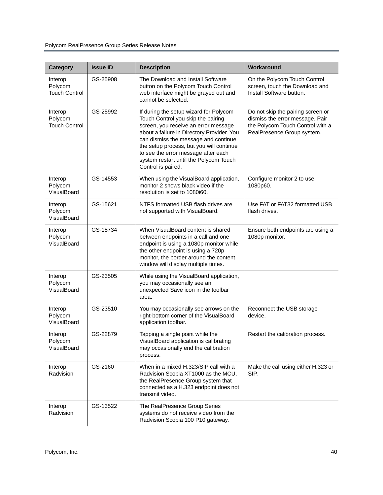| <b>Category</b>                            | <b>Issue ID</b> | <b>Description</b>                                                                                                                                                                                                                                                                                                                                            | Workaround                                                                                                                             |
|--------------------------------------------|-----------------|---------------------------------------------------------------------------------------------------------------------------------------------------------------------------------------------------------------------------------------------------------------------------------------------------------------------------------------------------------------|----------------------------------------------------------------------------------------------------------------------------------------|
| Interop<br>Polycom<br><b>Touch Control</b> | GS-25908        | The Download and Install Software<br>button on the Polycom Touch Control<br>web interface might be grayed out and<br>cannot be selected.                                                                                                                                                                                                                      | On the Polycom Touch Control<br>screen, touch the Download and<br>Install Software button.                                             |
| Interop<br>Polycom<br><b>Touch Control</b> | GS-25992        | If during the setup wizard for Polycom<br>Touch Control you skip the pairing<br>screen, you receive an error message<br>about a failure in Directory Provider. You<br>can dismiss the message and continue<br>the setup process, but you will continue<br>to see the error message after each<br>system restart until the Polycom Touch<br>Control is paired. | Do not skip the pairing screen or<br>dismiss the error message. Pair<br>the Polycom Touch Control with a<br>RealPresence Group system. |
| Interop<br>Polycom<br>VisualBoard          | GS-14553        | When using the VisualBoard application,<br>monitor 2 shows black video if the<br>resolution is set to 1080i60.                                                                                                                                                                                                                                                | Configure monitor 2 to use<br>1080p60.                                                                                                 |
| Interop<br>Polycom<br>VisualBoard          | GS-15621        | NTFS formatted USB flash drives are<br>not supported with VisualBoard.                                                                                                                                                                                                                                                                                        | Use FAT or FAT32 formatted USB<br>flash drives.                                                                                        |
| Interop<br>Polycom<br>VisualBoard          | GS-15734        | When VisualBoard content is shared<br>between endpoints in a call and one<br>endpoint is using a 1080p monitor while<br>the other endpoint is using a 720p<br>monitor, the border around the content<br>window will display multiple times.                                                                                                                   | Ensure both endpoints are using a<br>1080p monitor.                                                                                    |
| Interop<br>Polycom<br>VisualBoard          | GS-23505        | While using the VisualBoard application,<br>you may occasionally see an<br>unexpected Save icon in the toolbar<br>area.                                                                                                                                                                                                                                       |                                                                                                                                        |
| Interop<br>Polycom<br>VisualBoard          | GS-23510        | You may occasionally see arrows on the<br>right-bottom corner of the VisualBoard<br>application toolbar.                                                                                                                                                                                                                                                      | Reconnect the USB storage<br>device.                                                                                                   |
| Interop<br>Polycom<br>VisualBoard          | GS-22879        | Tapping a single point while the<br>VisualBoard application is calibrating<br>may occasionally end the calibration<br>process.                                                                                                                                                                                                                                | Restart the calibration process.                                                                                                       |
| Interop<br>Radvision                       | GS-2160         | When in a mixed H.323/SIP call with a<br>Radvision Scopia XT1000 as the MCU,<br>the RealPresence Group system that<br>connected as a H.323 endpoint does not<br>transmit video.                                                                                                                                                                               | Make the call using either H.323 or<br>SIP.                                                                                            |
| Interop<br>Radvision                       | GS-13522        | The RealPresence Group Series<br>systems do not receive video from the<br>Radvision Scopia 100 P10 gateway.                                                                                                                                                                                                                                                   |                                                                                                                                        |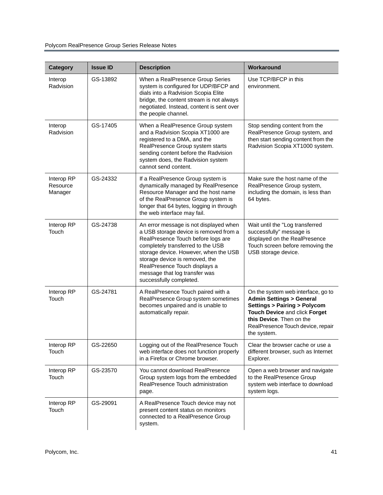| <b>Category</b>                   | <b>Issue ID</b> | <b>Description</b>                                                                                                                                                                                                                                                                                                                  | Workaround                                                                                                                                                                                                                             |
|-----------------------------------|-----------------|-------------------------------------------------------------------------------------------------------------------------------------------------------------------------------------------------------------------------------------------------------------------------------------------------------------------------------------|----------------------------------------------------------------------------------------------------------------------------------------------------------------------------------------------------------------------------------------|
| Interop<br>Radvision              | GS-13892        | When a RealPresence Group Series<br>system is configured for UDP/BFCP and<br>dials into a Radvision Scopia Elite<br>bridge, the content stream is not always<br>negotiated. Instead, content is sent over<br>the people channel.                                                                                                    | Use TCP/BFCP in this<br>environment.                                                                                                                                                                                                   |
| Interop<br>Radvision              | GS-17405        | When a RealPresence Group system<br>and a Radvision Scopia XT1000 are<br>registered to a DMA, and the<br>RealPresence Group system starts<br>sending content before the Radvision<br>system does, the Radvision system<br>cannot send content.                                                                                      | Stop sending content from the<br>RealPresence Group system, and<br>then start sending content from the<br>Radvision Scopia XT1000 system.                                                                                              |
| Interop RP<br>Resource<br>Manager | GS-24332        | If a RealPresence Group system is<br>dynamically managed by RealPresence<br>Resource Manager and the host name<br>of the RealPresence Group system is<br>longer that 64 bytes, logging in through<br>the web interface may fail.                                                                                                    | Make sure the host name of the<br>RealPresence Group system,<br>including the domain, is less than<br>64 bytes.                                                                                                                        |
| Interop RP<br>Touch               | GS-24738        | An error message is not displayed when<br>a USB storage device is removed from a<br>RealPresence Touch before logs are<br>completely transferred to the USB<br>storage device. However, when the USB<br>storage device is removed, the<br>RealPresence Touch displays a<br>message that log transfer was<br>successfully completed. | Wait until the "Log transferred<br>successfully" message is<br>displayed on the RealPresence<br>Touch screen before removing the<br>USB storage device.                                                                                |
| Interop RP<br>Touch               | GS-24781        | A RealPresence Touch paired with a<br>RealPresence Group system sometimes<br>becomes unpaired and is unable to<br>automatically repair.                                                                                                                                                                                             | On the system web interface, go to<br><b>Admin Settings &gt; General</b><br><b>Settings &gt; Pairing &gt; Polycom</b><br>Touch Device and click Forget<br>this Device. Then on the<br>RealPresence Touch device, repair<br>the system. |
| Interop RP<br>Touch               | GS-22650        | Logging out of the RealPresence Touch<br>web interface does not function properly<br>in a Firefox or Chrome browser.                                                                                                                                                                                                                | Clear the browser cache or use a<br>different browser, such as Internet<br>Explorer.                                                                                                                                                   |
| Interop RP<br>Touch               | GS-23570        | You cannot download RealPresence<br>Group system logs from the embedded<br>RealPresence Touch administration<br>page.                                                                                                                                                                                                               | Open a web browser and navigate<br>to the RealPresence Group<br>system web interface to download<br>system logs.                                                                                                                       |
| Interop RP<br>Touch               | GS-29091        | A RealPresence Touch device may not<br>present content status on monitors<br>connected to a RealPresence Group<br>system.                                                                                                                                                                                                           |                                                                                                                                                                                                                                        |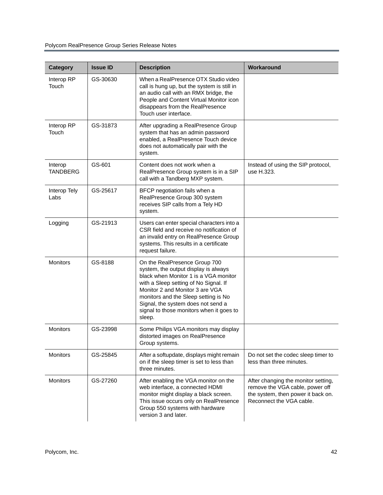| <b>Category</b>            | <b>Issue ID</b> | <b>Description</b>                                                                                                                                                                                                                                                                                                             | Workaround                                                                                                                               |
|----------------------------|-----------------|--------------------------------------------------------------------------------------------------------------------------------------------------------------------------------------------------------------------------------------------------------------------------------------------------------------------------------|------------------------------------------------------------------------------------------------------------------------------------------|
| Interop RP<br>Touch        | GS-30630        | When a RealPresence OTX Studio video<br>call is hung up, but the system is still in<br>an audio call with an RMX bridge, the<br>People and Content Virtual Monitor icon<br>disappears from the RealPresence<br>Touch user interface.                                                                                           |                                                                                                                                          |
| Interop RP<br>Touch        | GS-31873        | After upgrading a RealPresence Group<br>system that has an admin password<br>enabled, a RealPresence Touch device<br>does not automatically pair with the<br>system.                                                                                                                                                           |                                                                                                                                          |
| Interop<br><b>TANDBERG</b> | GS-601          | Content does not work when a<br>RealPresence Group system is in a SIP<br>call with a Tandberg MXP system.                                                                                                                                                                                                                      | Instead of using the SIP protocol,<br>use H.323.                                                                                         |
| Interop Tely<br>Labs       | GS-25617        | BFCP negotiation fails when a<br>RealPresence Group 300 system<br>receives SIP calls from a Tely HD<br>system.                                                                                                                                                                                                                 |                                                                                                                                          |
| Logging                    | GS-21913        | Users can enter special characters into a<br>CSR field and receive no notification of<br>an invalid entry on RealPresence Group<br>systems. This results in a certificate<br>request failure.                                                                                                                                  |                                                                                                                                          |
| <b>Monitors</b>            | GS-8188         | On the RealPresence Group 700<br>system, the output display is always<br>black when Monitor 1 is a VGA monitor<br>with a Sleep setting of No Signal. If<br>Monitor 2 and Monitor 3 are VGA<br>monitors and the Sleep setting is No<br>Signal, the system does not send a<br>signal to those monitors when it goes to<br>sleep. |                                                                                                                                          |
| <b>Monitors</b>            | GS-23998        | Some Philips VGA monitors may display<br>distorted images on RealPresence<br>Group systems.                                                                                                                                                                                                                                    |                                                                                                                                          |
| <b>Monitors</b>            | GS-25845        | After a softupdate, displays might remain<br>on if the sleep timer is set to less than<br>three minutes.                                                                                                                                                                                                                       | Do not set the codec sleep timer to<br>less than three minutes.                                                                          |
| Monitors                   | GS-27260        | After enabling the VGA monitor on the<br>web interface, a connected HDMI<br>monitor might display a black screen.<br>This issue occurs only on RealPresence<br>Group 550 systems with hardware<br>version 3 and later.                                                                                                         | After changing the monitor setting,<br>remove the VGA cable, power off<br>the system, then power it back on.<br>Reconnect the VGA cable. |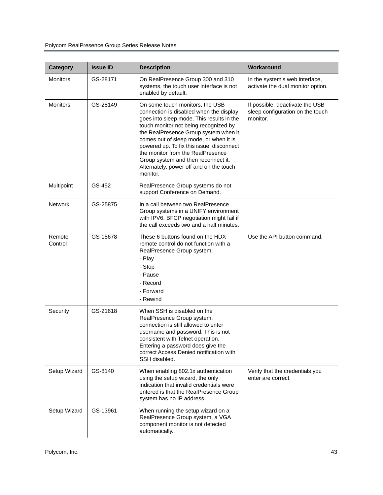| <b>Category</b>   | <b>Issue ID</b> | <b>Description</b>                                                                                                                                                                                                                                                                                                                                                                                                                  | Workaround                                                                      |
|-------------------|-----------------|-------------------------------------------------------------------------------------------------------------------------------------------------------------------------------------------------------------------------------------------------------------------------------------------------------------------------------------------------------------------------------------------------------------------------------------|---------------------------------------------------------------------------------|
| <b>Monitors</b>   | GS-28171        | On RealPresence Group 300 and 310<br>systems, the touch user interface is not<br>enabled by default.                                                                                                                                                                                                                                                                                                                                | In the system's web interface,<br>activate the dual monitor option.             |
| Monitors          | GS-28149        | On some touch monitors, the USB<br>connection is disabled when the display<br>goes into sleep mode. This results in the<br>touch monitor not being recognized by<br>the RealPresence Group system when it<br>comes out of sleep mode, or when it is<br>powered up. To fix this issue, disconnect<br>the monitor from the RealPresence<br>Group system and then reconnect it.<br>Alternately, power off and on the touch<br>monitor. | If possible, deactivate the USB<br>sleep configuration on the touch<br>monitor. |
| Multipoint        | GS-452          | RealPresence Group systems do not<br>support Conference on Demand.                                                                                                                                                                                                                                                                                                                                                                  |                                                                                 |
| <b>Network</b>    | GS-25875        | In a call between two RealPresence<br>Group systems in a UNIFY environment<br>with IPV6, BFCP negotiation might fail if<br>the call exceeds two and a half minutes.                                                                                                                                                                                                                                                                 |                                                                                 |
| Remote<br>Control | GS-15678        | These 6 buttons found on the HDX<br>remote control do not function with a<br>RealPresence Group system:<br>- Play<br>- Stop<br>- Pause<br>- Record<br>- Forward<br>- Rewind                                                                                                                                                                                                                                                         | Use the API button command.                                                     |
| Security          | GS-21618        | When SSH is disabled on the<br>RealPresence Group system,<br>connection is still allowed to enter<br>username and password. This is not<br>consistent with Telnet operation.<br>Entering a password does give the<br>correct Access Denied notification with<br>SSH disabled.                                                                                                                                                       |                                                                                 |
| Setup Wizard      | GS-8140         | When enabling 802.1x authentication<br>using the setup wizard, the only<br>indication that invalid credentials were<br>entered is that the RealPresence Group<br>system has no IP address.                                                                                                                                                                                                                                          | Verify that the credentials you<br>enter are correct.                           |
| Setup Wizard      | GS-13961        | When running the setup wizard on a<br>RealPresence Group system, a VGA<br>component monitor is not detected<br>automatically.                                                                                                                                                                                                                                                                                                       |                                                                                 |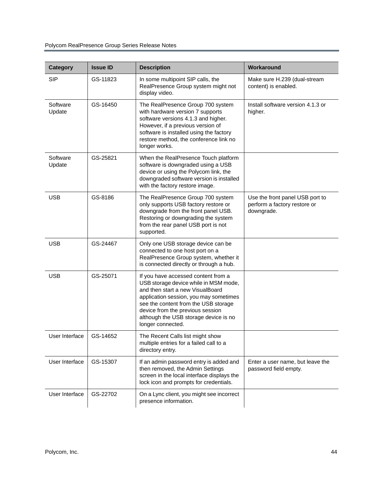| <b>Category</b>    | <b>Issue ID</b> | <b>Description</b>                                                                                                                                                                                                                                                                                   | Workaround                                                                    |
|--------------------|-----------------|------------------------------------------------------------------------------------------------------------------------------------------------------------------------------------------------------------------------------------------------------------------------------------------------------|-------------------------------------------------------------------------------|
| SIP                | GS-11823        | In some multipoint SIP calls, the<br>RealPresence Group system might not<br>display video.                                                                                                                                                                                                           | Make sure H.239 (dual-stream<br>content) is enabled.                          |
| Software<br>Update | GS-16450        | The RealPresence Group 700 system<br>with hardware version 7 supports<br>software versions 4.1.3 and higher.<br>However, if a previous version of<br>software is installed using the factory<br>restore method, the conference link no<br>longer works.                                              | Install software version 4.1.3 or<br>higher.                                  |
| Software<br>Update | GS-25821        | When the RealPresence Touch platform<br>software is downgraded using a USB<br>device or using the Polycom link, the<br>downgraded software version is installed<br>with the factory restore image.                                                                                                   |                                                                               |
| <b>USB</b>         | GS-8186         | The RealPresence Group 700 system<br>only supports USB factory restore or<br>downgrade from the front panel USB.<br>Restoring or downgrading the system<br>from the rear panel USB port is not<br>supported.                                                                                         | Use the front panel USB port to<br>perform a factory restore or<br>downgrade. |
| <b>USB</b>         | GS-24467        | Only one USB storage device can be<br>connected to one host port on a<br>RealPresence Group system, whether it<br>is connected directly or through a hub.                                                                                                                                            |                                                                               |
| <b>USB</b>         | GS-25071        | If you have accessed content from a<br>USB storage device while in MSM mode,<br>and then start a new VisualBoard<br>application session, you may sometimes<br>see the content from the USB storage<br>device from the previous session<br>although the USB storage device is no<br>longer connected. |                                                                               |
| User Interface     | GS-14652        | The Recent Calls list might show<br>multiple entries for a failed call to a<br>directory entry.                                                                                                                                                                                                      |                                                                               |
| User Interface     | GS-15307        | If an admin password entry is added and<br>then removed, the Admin Settings<br>screen in the local interface displays the<br>lock icon and prompts for credentials.                                                                                                                                  | Enter a user name, but leave the<br>password field empty.                     |
| User Interface     | GS-22702        | On a Lync client, you might see incorrect<br>presence information.                                                                                                                                                                                                                                   |                                                                               |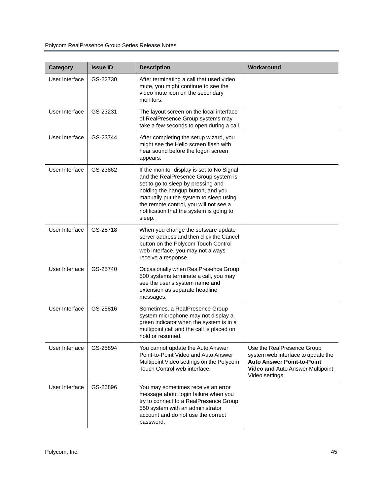| <b>Category</b> | <b>Issue ID</b> | <b>Description</b>                                                                                                                                                                                                                                                                                       | Workaround                                                                                                                                                          |
|-----------------|-----------------|----------------------------------------------------------------------------------------------------------------------------------------------------------------------------------------------------------------------------------------------------------------------------------------------------------|---------------------------------------------------------------------------------------------------------------------------------------------------------------------|
| User Interface  | GS-22730        | After terminating a call that used video<br>mute, you might continue to see the<br>video mute icon on the secondary<br>monitors.                                                                                                                                                                         |                                                                                                                                                                     |
| User Interface  | GS-23231        | The layout screen on the local interface<br>of RealPresence Group systems may<br>take a few seconds to open during a call.                                                                                                                                                                               |                                                                                                                                                                     |
| User Interface  | GS-23744        | After completing the setup wizard, you<br>might see the Hello screen flash with<br>hear sound before the logon screen<br>appears.                                                                                                                                                                        |                                                                                                                                                                     |
| User Interface  | GS-23862        | If the monitor display is set to No Signal<br>and the RealPresence Group system is<br>set to go to sleep by pressing and<br>holding the hangup button, and you<br>manually put the system to sleep using<br>the remote control, you will not see a<br>notification that the system is going to<br>sleep. |                                                                                                                                                                     |
| User Interface  | GS-25718        | When you change the software update<br>server address and then click the Cancel<br>button on the Polycom Touch Control<br>web interface, you may not always<br>receive a response.                                                                                                                       |                                                                                                                                                                     |
| User Interface  | GS-25740        | Occasionally when RealPresence Group<br>500 systems terminate a call, you may<br>see the user's system name and<br>extension as separate headline<br>messages.                                                                                                                                           |                                                                                                                                                                     |
| User Interface  | GS-25816        | Sometimes, a RealPresence Group<br>system microphone may not display a<br>green indicator when the system is in a<br>multipoint call and the call is placed on<br>hold or resumed.                                                                                                                       |                                                                                                                                                                     |
| User Interface  | GS-25894        | You cannot update the Auto Answer<br>Point-to-Point Video and Auto Answer<br>Multipoint Video settings on the Polycom<br>Touch Control web interface.                                                                                                                                                    | Use the RealPresence Group<br>system web interface to update the<br><b>Auto Answer Point-to-Point</b><br><b>Video and Auto Answer Multipoint</b><br>Video settings. |
| User Interface  | GS-25896        | You may sometimes receive an error<br>message about login failure when you<br>try to connect to a RealPresence Group<br>550 system with an administrator<br>account and do not use the correct<br>password.                                                                                              |                                                                                                                                                                     |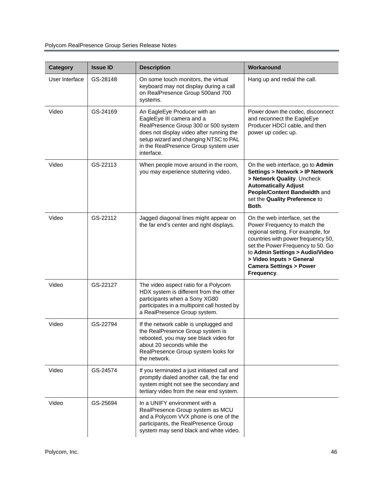| <b>Category</b> | <b>Issue ID</b> | <b>Description</b>                                                                                                                                                                                                                            | Workaround                                                                                                                                                                                                                                                                                       |
|-----------------|-----------------|-----------------------------------------------------------------------------------------------------------------------------------------------------------------------------------------------------------------------------------------------|--------------------------------------------------------------------------------------------------------------------------------------------------------------------------------------------------------------------------------------------------------------------------------------------------|
| User Interface  | GS-28148        | On some touch monitors, the virtual<br>keyboard may not display during a call<br>on RealPresence Group 500and 700<br>systems.                                                                                                                 | Hang up and redial the call.                                                                                                                                                                                                                                                                     |
| Video           | GS-24169        | An EagleEye Producer with an<br>EagleEye III camera and a<br>RealPresence Group 300 or 500 system<br>does not display video after running the<br>setup wizard and changing NTSC to PAL<br>in the RealPresence Group system user<br>interface. | Power down the codec, disconnect<br>and reconnect the EagleEye<br>Producer HDCI cable, and then<br>power up codec up.                                                                                                                                                                            |
| Video           | GS-22113        | When people move around in the room,<br>you may experience stuttering video.                                                                                                                                                                  | On the web interface, go to Admin<br><b>Settings &gt; Network &gt; IP Network</b><br>> Network Quality. Uncheck<br><b>Automatically Adjust</b><br>People/Content Bandwidth and<br>set the Quality Preference to<br>Both.                                                                         |
| Video           | GS-22112        | Jagged diagonal lines might appear on<br>the far end's center and right displays.                                                                                                                                                             | On the web interface, set the<br>Power Frequency to match the<br>regional setting. For example, for<br>countries with power frequency 50,<br>set the Power Frequency to 50. Go<br>to Admin Settings > Audio/Video<br>> Video Inputs > General<br><b>Camera Settings &gt; Power</b><br>Frequency. |
| Video           | GS-22127        | The video aspect ratio for a Polycom<br>HDX system is different from the other<br>participants when a Sony XG80<br>participates in a multipoint call hosted by<br>a RealPresence Group system.                                                |                                                                                                                                                                                                                                                                                                  |
| Video           | GS-22794        | If the network cable is unplugged and<br>the RealPresence Group system is<br>rebooted, you may see black video for<br>about 20 seconds while the<br>RealPresence Group system looks for<br>the network.                                       |                                                                                                                                                                                                                                                                                                  |
| Video           | GS-24574        | If you terminated a just initiated call and<br>promptly dialed another call, the far end<br>system might not see the secondary and<br>tertiary video from the near end system.                                                                |                                                                                                                                                                                                                                                                                                  |
| Video           | GS-25694        | In a UNIFY environment with a<br>RealPresence Group system as MCU<br>and a Polycom VVX phone is one of the<br>participants, the RealPresence Group<br>system may send black and white video.                                                  |                                                                                                                                                                                                                                                                                                  |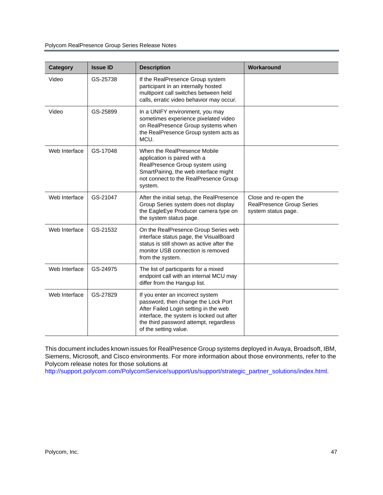| Category      | <b>Issue ID</b> | <b>Description</b>                                                                                                                                                                                                               | Workaround                                                                       |
|---------------|-----------------|----------------------------------------------------------------------------------------------------------------------------------------------------------------------------------------------------------------------------------|----------------------------------------------------------------------------------|
| Video         | GS-25738        | If the RealPresence Group system<br>participant in an internally hosted<br>multipoint call switches between held<br>calls, erratic video behavior may occur.                                                                     |                                                                                  |
| Video         | GS-25899        | In a UNIFY environment, you may<br>sometimes experience pixelated video<br>on RealPresence Group systems when<br>the RealPresence Group system acts as<br>MCU.                                                                   |                                                                                  |
| Web Interface | GS-17048        | When the RealPresence Mobile<br>application is paired with a<br>RealPresence Group system using<br>SmartPairing, the web interface might<br>not connect to the RealPresence Group<br>system.                                     |                                                                                  |
| Web Interface | GS-21047        | After the initial setup, the RealPresence<br>Group Series system does not display<br>the EagleEye Producer camera type on<br>the system status page.                                                                             | Close and re-open the<br><b>RealPresence Group Series</b><br>system status page. |
| Web Interface | GS-21532        | On the RealPresence Group Series web<br>interface status page, the VisualBoard<br>status is still shown as active after the<br>monitor USB connection is removed<br>from the system.                                             |                                                                                  |
| Web Interface | GS-24975        | The list of participants for a mixed<br>endpoint call with an internal MCU may<br>differ from the Hangup list.                                                                                                                   |                                                                                  |
| Web Interface | GS-27829        | If you enter an incorrect system<br>password, then change the Lock Port<br>After Failed Login setting in the web<br>interface, the system is locked out after<br>the third password attempt, regardless<br>of the setting value. |                                                                                  |

This document includes known issues for RealPresence Group systems deployed in Avaya, Broadsoft, IBM, Siemens, Microsoft, and Cisco environments. For more information about those environments, refer to the Polycom release notes for those solutions at

http://support.polycom.com/PolycomService/support/us/support/strategic\_partner\_solutions/index.html.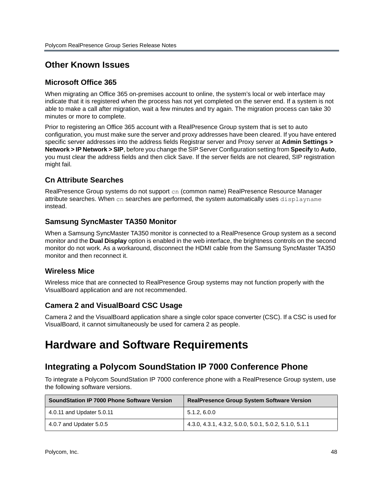### **Other Known Issues**

#### **Microsoft Office 365**

When migrating an Office 365 on-premises account to online, the system's local or web interface may indicate that it is registered when the process has not yet completed on the server end. If a system is not able to make a call after migration, wait a few minutes and try again. The migration process can take 30 minutes or more to complete.

Prior to registering an Office 365 account with a RealPresence Group system that is set to auto configuration, you must make sure the server and proxy addresses have been cleared. If you have entered specific server addresses into the address fields Registrar server and Proxy server at **Admin Settings > Network > IP Network > SIP**, before you change the SIP Server Configuration setting from **Specify** to **Auto**, you must clear the address fields and then click Save. If the server fields are not cleared, SIP registration might fail.

### **Cn Attribute Searches**

RealPresence Group systems do not support cn (common name) RealPresence Resource Manager attribute searches. When cn searches are performed, the system automatically uses displayname instead.

### **Samsung SyncMaster TA350 Monitor**

When a Samsung SyncMaster TA350 monitor is connected to a RealPresence Group system as a second monitor and the **Dual Display** option is enabled in the web interface, the brightness controls on the second monitor do not work. As a workaround, disconnect the HDMI cable from the Samsung SyncMaster TA350 monitor and then reconnect it.

#### **Wireless Mice**

Wireless mice that are connected to RealPresence Group systems may not function properly with the VisualBoard application and are not recommended.

#### **Camera 2 and VisualBoard CSC Usage**

Camera 2 and the VisualBoard application share a single color space converter (CSC). If a CSC is used for VisualBoard, it cannot simultaneously be used for camera 2 as people.

## <span id="page-47-0"></span>**Hardware and Software Requirements**

### **Integrating a Polycom SoundStation IP 7000 Conference Phone**

To integrate a Polycom SoundStation IP 7000 conference phone with a RealPresence Group system, use the following software versions.

| SoundStation IP 7000 Phone Software Version | <b>RealPresence Group System Software Version</b>      |  |
|---------------------------------------------|--------------------------------------------------------|--|
| 4.0.11 and Updater 5.0.11                   | 5.1.2.6.0.0                                            |  |
| 4.0.7 and Updater 5.0.5                     | 4.3.0, 4.3.1, 4.3.2, 5.0.0, 5.0.1, 5.0.2, 5.1.0, 5.1.1 |  |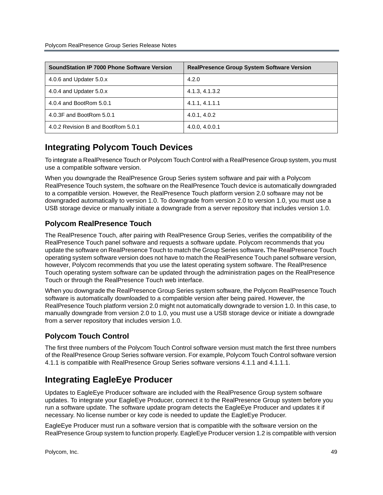| <b>SoundStation IP 7000 Phone Software Version</b> | <b>RealPresence Group System Software Version</b> |
|----------------------------------------------------|---------------------------------------------------|
| 4.0.6 and Updater 5.0.x                            | 4.2.0                                             |
| 4.0.4 and Updater 5.0.x                            | 4.1.3, 4.1.3.2                                    |
| 4.0.4 and BootRom 5.0.1                            | 4.1.1, 4.1.1.1                                    |
| 4.0.3F and BootRom 5.0.1                           | 4.0.1, 4.0.2                                      |
| 4.0.2 Revision B and BootRom 5.0.1                 | 4.0.0, 4.0.0.1                                    |

### **Integrating Polycom Touch Devices**

To integrate a RealPresence Touch or Polycom Touch Control with a RealPresence Group system, you must use a compatible software version.

When you downgrade the RealPresence Group Series system software and pair with a Polycom RealPresence Touch system, the software on the RealPresence Touch device is automatically downgraded to a compatible version. However, the RealPresence Touch platform version 2.0 software may not be downgraded automatically to version 1.0. To downgrade from version 2.0 to version 1.0, you must use a USB storage device or manually initiate a downgrade from a server repository that includes version 1.0.

#### **Polycom RealPresence Touch**

The RealPresence Touch, after pairing with RealPresence Group Series, verifies the compatibility of the RealPresence Touch panel software and requests a software update. Polycom recommends that you update the software on RealPresence Touch to match the Group Series software**.** The RealPresence Touch operating system software version does not have to match the RealPresence Touch panel software version, however, Polycom recommends that you use the latest operating system software. The RealPresence Touch operating system software can be updated through the administration pages on the RealPresence Touch or through the RealPresence Touch web interface.

When you downgrade the RealPresence Group Series system software, the Polycom RealPresence Touch software is automatically downloaded to a compatible version after being paired. However, the RealPresence Touch platform version 2.0 might not automatically downgrade to version 1.0. In this case, to manually downgrade from version 2.0 to 1.0, you must use a USB storage device or initiate a downgrade from a server repository that includes version 1.0.

#### **Polycom Touch Control**

The first three numbers of the Polycom Touch Control software version must match the first three numbers of the RealPresence Group Series software version. For example, Polycom Touch Control software version 4.1.1 is compatible with RealPresence Group Series software versions 4.1.1 and 4.1.1.1.

### **Integrating EagleEye Producer**

Updates to EagleEye Producer software are included with the RealPresence Group system software updates. To integrate your EagleEye Producer, connect it to the RealPresence Group system before you run a software update. The software update program detects the EagleEye Producer and updates it if necessary. No license number or key code is needed to update the EagleEye Producer.

EagleEye Producer must run a software version that is compatible with the software version on the RealPresence Group system to function properly. EagleEye Producer version 1.2 is compatible with version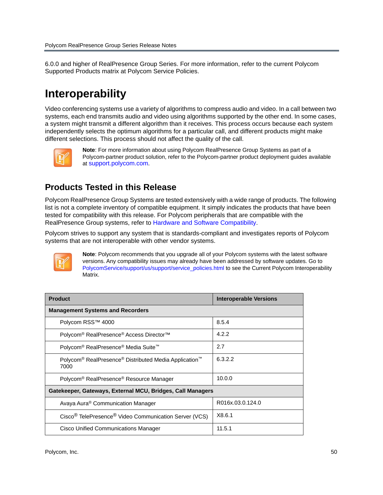6.0.0 and higher of RealPresence Group Series. For more information, refer to the current Polycom Supported Products matrix at Polycom Service Policies.

## <span id="page-49-0"></span>**Interoperability**

Video conferencing systems use a variety of algorithms to compress audio and video. In a call between two systems, each end transmits audio and video using algorithms supported by the other end. In some cases, a system might transmit a different algorithm than it receives. This process occurs because each system independently selects the optimum algorithms for a particular call, and different products might make different selections. This process should not affect the quality of the call.



**Note**: For more information about using Polycom RealPresence Group Systems as part of a Polycom-partner product solution, refer to the Polycom-partner product deployment guides available at [support.polycom.com.](http://support.polycom.com)

### <span id="page-49-1"></span>**Products Tested in this Release**

Polycom RealPresence Group Systems are tested extensively with a wide range of products. The following list is not a complete inventory of compatible equipment. It simply indicates the products that have been tested for compatibility with this release. For Polycom peripherals that are compatible with the RealPresence Group systems, refer to [Hardware and Software Compatibility.](#page-21-1)

Polycom strives to support any system that is standards-compliant and investigates reports of Polycom systems that are not interoperable with other vendor systems.



**Note**: Polycom recommends that you upgrade all of your Polycom systems with the latest software versions. Any compatibility issues may already have been addressed by software updates. Go to [PolycomService/support/us/support/service\\_policies.html](http://support.polycom.com/PolycomService/support/us/support/service_policies.html) to see the Current Polycom Interoperability Matrix.

| <b>Product</b>                                                                                    | <b>Interoperable Versions</b> |  |  |
|---------------------------------------------------------------------------------------------------|-------------------------------|--|--|
| <b>Management Systems and Recorders</b>                                                           |                               |  |  |
| Polycom RSS™ 4000                                                                                 | 8.5.4                         |  |  |
| Polycom <sup>®</sup> RealPresence <sup>®</sup> Access Director <sup>™</sup>                       | 4.2.2                         |  |  |
| Polycom <sup>®</sup> RealPresence <sup>®</sup> Media Suite <sup>™</sup>                           | 2.7                           |  |  |
| Polycom <sup>®</sup> RealPresence <sup>®</sup> Distributed Media Application <sup>™</sup><br>7000 | 6.3.2.2                       |  |  |
| Polycom <sup>®</sup> RealPresence <sup>®</sup> Resource Manager                                   | 10.0.0                        |  |  |
| Gatekeeper, Gateways, External MCU, Bridges, Call Managers                                        |                               |  |  |
| Avaya Aura® Communication Manager                                                                 | R016x.03.0.124.0              |  |  |
| Cisco <sup>®</sup> TelePresence <sup>®</sup> Video Communication Server (VCS)                     | X8.6.1                        |  |  |
| <b>Cisco Unified Communications Manager</b>                                                       | 11.5.1                        |  |  |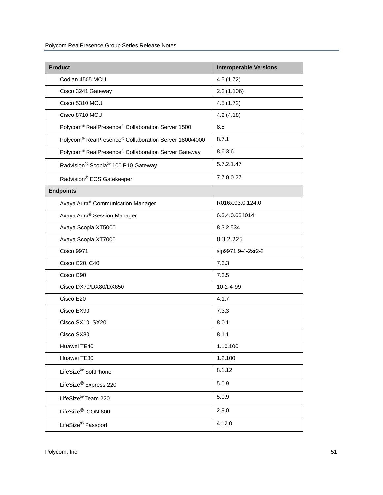| <b>Product</b>                                                           | <b>Interoperable Versions</b> |
|--------------------------------------------------------------------------|-------------------------------|
| Codian 4505 MCU                                                          | 4.5(1.72)                     |
| Cisco 3241 Gateway                                                       | 2.2(1.106)                    |
| Cisco 5310 MCU                                                           | 4.5(1.72)                     |
| Cisco 8710 MCU                                                           | 4.2(4.18)                     |
| Polycom <sup>®</sup> RealPresence <sup>®</sup> Collaboration Server 1500 | 8.5                           |
| Polycom® RealPresence® Collaboration Server 1800/4000                    | 8.7.1                         |
| Polycom <sup>®</sup> RealPresence® Collaboration Server Gateway          | 8.6.3.6                       |
| Radvision <sup>®</sup> Scopia <sup>®</sup> 100 P10 Gateway               | 5.7.2.1.47                    |
| Radvision <sup>®</sup> ECS Gatekeeper                                    | 7.7.0.0.27                    |
| <b>Endpoints</b>                                                         |                               |
| Avaya Aura® Communication Manager                                        | R016x.03.0.124.0              |
| Avaya Aura® Session Manager                                              | 6.3.4.0.634014                |
| Avaya Scopia XT5000                                                      | 8.3.2.534                     |
| Avaya Scopia XT7000                                                      | 8.3.2.225                     |
| <b>Cisco 9971</b>                                                        | sip9971.9-4-2sr2-2            |
| Cisco C20, C40                                                           | 7.3.3                         |
| Cisco C90                                                                | 7.3.5                         |
| Cisco DX70/DX80/DX650                                                    | 10-2-4-99                     |
| Cisco E20                                                                | 4.1.7                         |
| Cisco EX90                                                               | 7.3.3                         |
| Cisco SX10, SX20                                                         | 8.0.1                         |
| Cisco SX80                                                               | 8.1.1                         |
| Huawei TE40                                                              | 1.10.100                      |
| Huawei TE30                                                              | 1.2.100                       |
| LifeSize <sup>®</sup> SoftPhone                                          | 8.1.12                        |
| LifeSize <sup>®</sup> Express 220                                        | 5.0.9                         |
| LifeSize <sup>®</sup> Team 220                                           | 5.0.9                         |
| LifeSize <sup>®</sup> ICON 600                                           | 2.9.0                         |
| LifeSize <sup>®</sup> Passport                                           | 4.12.0                        |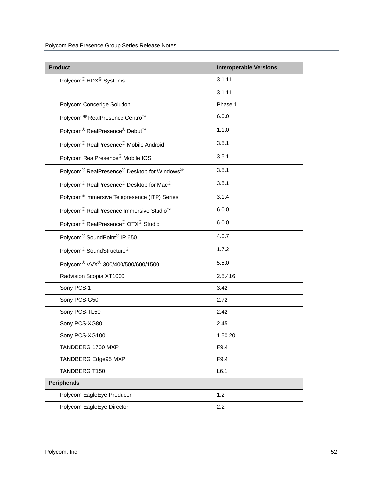| <b>Product</b>                                                         | <b>Interoperable Versions</b> |
|------------------------------------------------------------------------|-------------------------------|
| Polycom <sup>®</sup> HDX <sup>®</sup> Systems                          | 3.1.11                        |
|                                                                        | 3.1.11                        |
| Polycom Concerige Solution                                             | Phase 1                       |
| Polycom <sup>®</sup> RealPresence Centro <sup>™</sup>                  | 6.0.0                         |
| Polycom <sup>®</sup> RealPresence <sup>®</sup> Debut <sup>™</sup>      | 1.1.0                         |
| Polycom® RealPresence® Mobile Android                                  | 3.5.1                         |
| Polycom RealPresence <sup>®</sup> Mobile IOS                           | 3.5.1                         |
| Polycom® RealPresence® Desktop for Windows®                            | 3.5.1                         |
| Polycom® RealPresence® Desktop for Mac®                                | 3.5.1                         |
| Polycom® Immersive Telepresence (ITP) Series                           | 3.1.4                         |
| Polycom <sup>®</sup> RealPresence Immersive Studio <sup>™</sup>        | 6.0.0                         |
| Polycom <sup>®</sup> RealPresence <sup>®</sup> OTX <sup>®</sup> Studio | 6.0.0                         |
| Polycom® SoundPoint® IP 650                                            | 4.0.7                         |
| Polycom <sup>®</sup> SoundStructure <sup>®</sup>                       | 1.7.2                         |
| Polycom® VVX <sup>®</sup> 300/400/500/600/1500                         | 5.5.0                         |
| Radvision Scopia XT1000                                                | 2.5.416                       |
| Sony PCS-1                                                             | 3.42                          |
| Sony PCS-G50                                                           | 2.72                          |
| Sony PCS-TL50                                                          | 2.42                          |
| Sony PCS-XG80                                                          | 2.45                          |
| Sony PCS-XG100                                                         | 1.50.20                       |
| TANDBERG 1700 MXP                                                      | F9.4                          |
| TANDBERG Edge95 MXP                                                    | F9.4                          |
| TANDBERG T150                                                          | L6.1                          |
| <b>Peripherals</b>                                                     |                               |
| Polycom EagleEye Producer                                              | 1.2                           |
| Polycom EagleEye Director                                              | 2.2                           |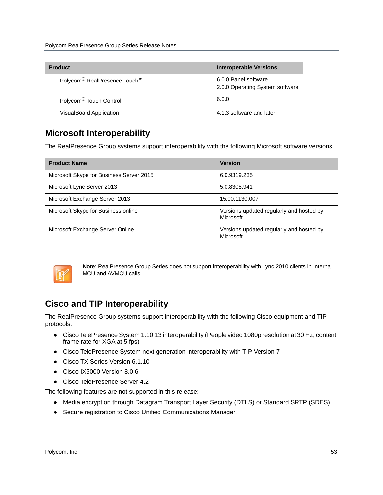| <b>Product</b>                                       | <b>Interoperable Versions</b>                           |
|------------------------------------------------------|---------------------------------------------------------|
| Polycom <sup>®</sup> RealPresence Touch <sup>™</sup> | 6.0.0 Panel software<br>2.0.0 Operating System software |
| Polycom <sup>®</sup> Touch Control                   | 6.0.0                                                   |
| VisualBoard Application                              | 4.1.3 software and later                                |

### **Microsoft Interoperability**

The RealPresence Group systems support interoperability with the following Microsoft software versions.

| <b>Product Name</b>                      | <b>Version</b>                                        |  |
|------------------------------------------|-------------------------------------------------------|--|
| Microsoft Skype for Business Server 2015 | 6.0.9319.235                                          |  |
| Microsoft Lync Server 2013               | 5.0.8308.941                                          |  |
| Microsoft Exchange Server 2013           | 15.00.1130.007                                        |  |
| Microsoft Skype for Business online      | Versions updated regularly and hosted by<br>Microsoft |  |
| Microsoft Exchange Server Online         | Versions updated regularly and hosted by<br>Microsoft |  |



**Note**: RealPresence Group Series does not support interoperability with Lync 2010 clients in Internal MCU and AVMCU calls.

### **Cisco and TIP Interoperability**

The RealPresence Group systems support interoperability with the following Cisco equipment and TIP protocols:

- Cisco TelePresence System 1.10.13 interoperability (People video 1080p resolution at 30 Hz; content frame rate for XGA at 5 fps)
- Cisco TelePresence System next generation interoperability with TIP Version 7
- Cisco TX Series Version 6.1.10
- Cisco IX5000 Version 8.0.6
- Cisco TelePresence Server 4.2

The following features are not supported in this release:

- Media encryption through Datagram Transport Layer Security (DTLS) or Standard SRTP (SDES)
- Secure registration to Cisco Unified Communications Manager.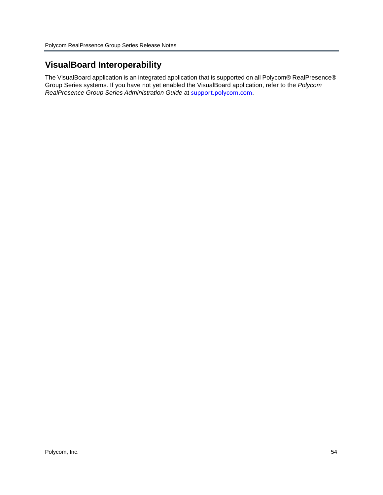### **VisualBoard Interoperability**

The VisualBoard application is an integrated application that is supported on all Polycom® RealPresence® Group Series systems. If you have not yet enabled the VisualBoard application, refer to the *Polycom RealPresence Group Series Administration Guide* at [support.polycom.com](http://support.polycom.com).